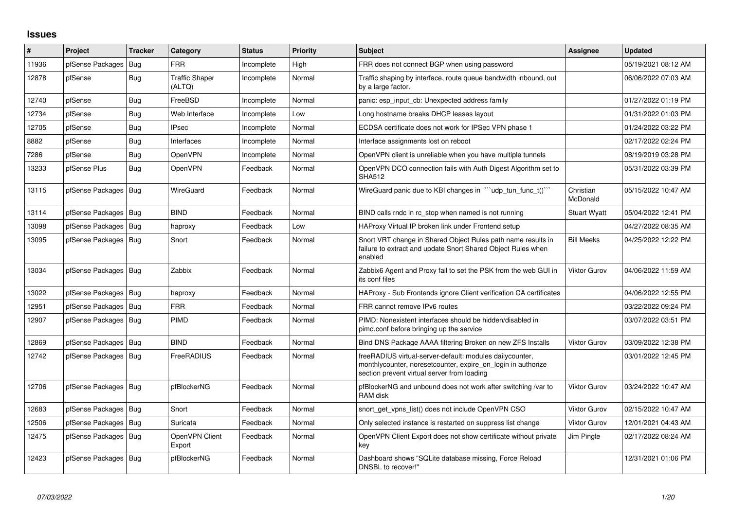## **Issues**

| $\vert$ # | Project                | <b>Tracker</b> | Category                        | <b>Status</b> | <b>Priority</b> | <b>Subject</b>                                                                                                                                                          | <b>Assignee</b>       | <b>Updated</b>      |
|-----------|------------------------|----------------|---------------------------------|---------------|-----------------|-------------------------------------------------------------------------------------------------------------------------------------------------------------------------|-----------------------|---------------------|
| 11936     | pfSense Packages       | Bug            | <b>FRR</b>                      | Incomplete    | High            | FRR does not connect BGP when using password                                                                                                                            |                       | 05/19/2021 08:12 AM |
| 12878     | pfSense                | Bug            | <b>Traffic Shaper</b><br>(ALTQ) | Incomplete    | Normal          | Traffic shaping by interface, route queue bandwidth inbound, out<br>by a large factor.                                                                                  |                       | 06/06/2022 07:03 AM |
| 12740     | pfSense                | Bug            | FreeBSD                         | Incomplete    | Normal          | panic: esp input cb: Unexpected address family                                                                                                                          |                       | 01/27/2022 01:19 PM |
| 12734     | pfSense                | Bug            | Web Interface                   | Incomplete    | Low             | Long hostname breaks DHCP leases layout                                                                                                                                 |                       | 01/31/2022 01:03 PM |
| 12705     | pfSense                | <b>Bug</b>     | <b>IPsec</b>                    | Incomplete    | Normal          | ECDSA certificate does not work for IPSec VPN phase 1                                                                                                                   |                       | 01/24/2022 03:22 PM |
| 8882      | pfSense                | Bug            | Interfaces                      | Incomplete    | Normal          | Interface assignments lost on reboot                                                                                                                                    |                       | 02/17/2022 02:24 PM |
| 7286      | pfSense                | Bug            | <b>OpenVPN</b>                  | Incomplete    | Normal          | OpenVPN client is unreliable when you have multiple tunnels                                                                                                             |                       | 08/19/2019 03:28 PM |
| 13233     | pfSense Plus           | <b>Bug</b>     | <b>OpenVPN</b>                  | Feedback      | Normal          | OpenVPN DCO connection fails with Auth Digest Algorithm set to<br><b>SHA512</b>                                                                                         |                       | 05/31/2022 03:39 PM |
| 13115     | pfSense Packages       | Bug            | WireGuard                       | Feedback      | Normal          | WireGuard panic due to KBI changes in ""udp_tun_func_t()""                                                                                                              | Christian<br>McDonald | 05/15/2022 10:47 AM |
| 13114     | pfSense Packages       | Bug            | <b>BIND</b>                     | Feedback      | Normal          | BIND calls rndc in rc stop when named is not running                                                                                                                    | <b>Stuart Wyatt</b>   | 05/04/2022 12:41 PM |
| 13098     | pfSense Packages   Bug |                | haproxy                         | Feedback      | Low             | HAProxy Virtual IP broken link under Frontend setup                                                                                                                     |                       | 04/27/2022 08:35 AM |
| 13095     | pfSense Packages   Bug |                | Snort                           | Feedback      | Normal          | Snort VRT change in Shared Object Rules path name results in<br>failure to extract and update Snort Shared Object Rules when<br>enabled                                 | <b>Bill Meeks</b>     | 04/25/2022 12:22 PM |
| 13034     | pfSense Packages   Bug |                | Zabbix                          | Feedback      | Normal          | Zabbix6 Agent and Proxy fail to set the PSK from the web GUI in<br>its conf files                                                                                       | <b>Viktor Gurov</b>   | 04/06/2022 11:59 AM |
| 13022     | pfSense Packages       | Bug            | haproxy                         | Feedback      | Normal          | HAProxy - Sub Frontends ignore Client verification CA certificates                                                                                                      |                       | 04/06/2022 12:55 PM |
| 12951     | pfSense Packages       | Bug            | <b>FRR</b>                      | Feedback      | Normal          | FRR cannot remove IPv6 routes                                                                                                                                           |                       | 03/22/2022 09:24 PM |
| 12907     | pfSense Packages       | Bug            | <b>PIMD</b>                     | Feedback      | Normal          | PIMD: Nonexistent interfaces should be hidden/disabled in<br>pimd.conf before bringing up the service                                                                   |                       | 03/07/2022 03:51 PM |
| 12869     | pfSense Packages       | <b>Bug</b>     | <b>BIND</b>                     | Feedback      | Normal          | Bind DNS Package AAAA filtering Broken on new ZFS Installs                                                                                                              | <b>Viktor Gurov</b>   | 03/09/2022 12:38 PM |
| 12742     | pfSense Packages   Bug |                | <b>FreeRADIUS</b>               | Feedback      | Normal          | freeRADIUS virtual-server-default: modules dailycounter,<br>monthlycounter, noresetcounter, expire on login in authorize<br>section prevent virtual server from loading |                       | 03/01/2022 12:45 PM |
| 12706     | pfSense Packages   Bug |                | pfBlockerNG                     | Feedback      | Normal          | pfBlockerNG and unbound does not work after switching /var to<br>RAM disk                                                                                               | Viktor Gurov          | 03/24/2022 10:47 AM |
| 12683     | pfSense Packages   Bug |                | Snort                           | Feedback      | Normal          | snort get vpns list() does not include OpenVPN CSO                                                                                                                      | <b>Viktor Gurov</b>   | 02/15/2022 10:47 AM |
| 12506     | pfSense Packages       | <b>Bug</b>     | Suricata                        | Feedback      | Normal          | Only selected instance is restarted on suppress list change                                                                                                             | <b>Viktor Gurov</b>   | 12/01/2021 04:43 AM |
| 12475     | pfSense Packages   Bug |                | OpenVPN Client<br>Export        | Feedback      | Normal          | OpenVPN Client Export does not show certificate without private<br>key                                                                                                  | Jim Pingle            | 02/17/2022 08:24 AM |
| 12423     | pfSense Packages   Bug |                | pfBlockerNG                     | Feedback      | Normal          | Dashboard shows "SQLite database missing, Force Reload<br>DNSBL to recover!"                                                                                            |                       | 12/31/2021 01:06 PM |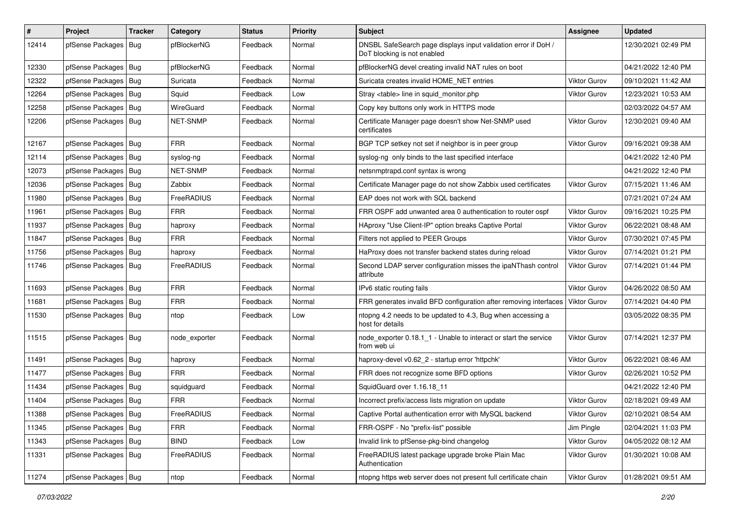| #     | Project                | <b>Tracker</b> | Category        | <b>Status</b> | <b>Priority</b> | Subject                                                                                       | <b>Assignee</b>     | <b>Updated</b>      |
|-------|------------------------|----------------|-----------------|---------------|-----------------|-----------------------------------------------------------------------------------------------|---------------------|---------------------|
| 12414 | pfSense Packages       | Bug            | pfBlockerNG     | Feedback      | Normal          | DNSBL SafeSearch page displays input validation error if DoH /<br>DoT blocking is not enabled |                     | 12/30/2021 02:49 PM |
| 12330 | pfSense Packages   Bug |                | pfBlockerNG     | Feedback      | Normal          | pfBlockerNG devel creating invalid NAT rules on boot                                          |                     | 04/21/2022 12:40 PM |
| 12322 | pfSense Packages   Bug |                | Suricata        | Feedback      | Normal          | Suricata creates invalid HOME NET entries                                                     | <b>Viktor Gurov</b> | 09/10/2021 11:42 AM |
| 12264 | pfSense Packages       | Bug            | Squid           | Feedback      | Low             | Stray <table> line in squid monitor.php</table>                                               | <b>Viktor Gurov</b> | 12/23/2021 10:53 AM |
| 12258 | pfSense Packages       | Bug            | WireGuard       | Feedback      | Normal          | Copy key buttons only work in HTTPS mode                                                      |                     | 02/03/2022 04:57 AM |
| 12206 | pfSense Packages   Bug |                | <b>NET-SNMP</b> | Feedback      | Normal          | Certificate Manager page doesn't show Net-SNMP used<br>certificates                           | Viktor Gurov        | 12/30/2021 09:40 AM |
| 12167 | pfSense Packages   Bug |                | <b>FRR</b>      | Feedback      | Normal          | BGP TCP setkey not set if neighbor is in peer group                                           | <b>Viktor Gurov</b> | 09/16/2021 09:38 AM |
| 12114 | pfSense Packages   Bug |                | syslog-ng       | Feedback      | Normal          | syslog-ng only binds to the last specified interface                                          |                     | 04/21/2022 12:40 PM |
| 12073 | pfSense Packages   Bug |                | NET-SNMP        | Feedback      | Normal          | netsnmptrapd.conf syntax is wrong                                                             |                     | 04/21/2022 12:40 PM |
| 12036 | pfSense Packages   Bug |                | Zabbix          | Feedback      | Normal          | Certificate Manager page do not show Zabbix used certificates                                 | Viktor Gurov        | 07/15/2021 11:46 AM |
| 11980 | pfSense Packages       | Bug            | FreeRADIUS      | Feedback      | Normal          | EAP does not work with SQL backend                                                            |                     | 07/21/2021 07:24 AM |
| 11961 | pfSense Packages       | Bug            | <b>FRR</b>      | Feedback      | Normal          | FRR OSPF add unwanted area 0 authentication to router ospf                                    | Viktor Gurov        | 09/16/2021 10:25 PM |
| 11937 | pfSense Packages   Bug |                | haproxy         | Feedback      | Normal          | HAproxy "Use Client-IP" option breaks Captive Portal                                          | Viktor Gurov        | 06/22/2021 08:48 AM |
| 11847 | pfSense Packages       | Bug            | <b>FRR</b>      | Feedback      | Normal          | Filters not applied to PEER Groups                                                            | Viktor Gurov        | 07/30/2021 07:45 PM |
| 11756 | pfSense Packages   Bug |                | haproxy         | Feedback      | Normal          | HaProxy does not transfer backend states during reload                                        | Viktor Gurov        | 07/14/2021 01:21 PM |
| 11746 | pfSense Packages   Bug |                | FreeRADIUS      | Feedback      | Normal          | Second LDAP server configuration misses the ipaNThash control<br>attribute                    | <b>Viktor Gurov</b> | 07/14/2021 01:44 PM |
| 11693 | pfSense Packages   Bug |                | <b>FRR</b>      | Feedback      | Normal          | IPv6 static routing fails                                                                     | <b>Viktor Gurov</b> | 04/26/2022 08:50 AM |
| 11681 | pfSense Packages       | Bug            | <b>FRR</b>      | Feedback      | Normal          | FRR generates invalid BFD configuration after removing interfaces                             | <b>Viktor Gurov</b> | 07/14/2021 04:40 PM |
| 11530 | pfSense Packages       | Bug            | ntop            | Feedback      | Low             | ntopng 4.2 needs to be updated to 4.3, Bug when accessing a<br>host for details               |                     | 03/05/2022 08:35 PM |
| 11515 | pfSense Packages   Bug |                | node exporter   | Feedback      | Normal          | node_exporter 0.18.1_1 - Unable to interact or start the service<br>from web ui               | <b>Viktor Gurov</b> | 07/14/2021 12:37 PM |
| 11491 | pfSense Packages   Bug |                | haproxy         | Feedback      | Normal          | haproxy-devel v0.62_2 - startup error 'httpchk'                                               | <b>Viktor Gurov</b> | 06/22/2021 08:46 AM |
| 11477 | pfSense Packages       | Bug            | <b>FRR</b>      | Feedback      | Normal          | FRR does not recognize some BFD options                                                       | Viktor Gurov        | 02/26/2021 10:52 PM |
| 11434 | pfSense Packages   Bug |                | squidguard      | Feedback      | Normal          | SquidGuard over 1.16.18_11                                                                    |                     | 04/21/2022 12:40 PM |
| 11404 | pfSense Packages       | Bug            | <b>FRR</b>      | Feedback      | Normal          | Incorrect prefix/access lists migration on update                                             | <b>Viktor Gurov</b> | 02/18/2021 09:49 AM |
| 11388 | pfSense Packages   Bug |                | FreeRADIUS      | Feedback      | Normal          | Captive Portal authentication error with MySQL backend                                        | Viktor Gurov        | 02/10/2021 08:54 AM |
| 11345 | pfSense Packages   Bug |                | <b>FRR</b>      | Feedback      | Normal          | FRR-OSPF - No "prefix-list" possible                                                          | Jim Pingle          | 02/04/2021 11:03 PM |
| 11343 | pfSense Packages   Bug |                | <b>BIND</b>     | Feedback      | Low             | Invalid link to pfSense-pkg-bind changelog                                                    | <b>Viktor Gurov</b> | 04/05/2022 08:12 AM |
| 11331 | pfSense Packages   Bug |                | FreeRADIUS      | Feedback      | Normal          | FreeRADIUS latest package upgrade broke Plain Mac<br>Authentication                           | <b>Viktor Gurov</b> | 01/30/2021 10:08 AM |
| 11274 | pfSense Packages   Bug |                | ntop            | Feedback      | Normal          | ntopng https web server does not present full certificate chain                               | <b>Viktor Gurov</b> | 01/28/2021 09:51 AM |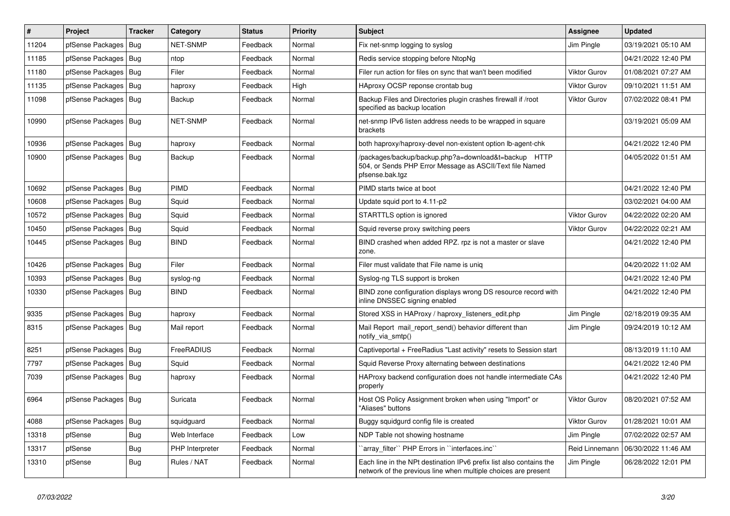| $\vert$ # | Project                | <b>Tracker</b> | Category        | <b>Status</b> | <b>Priority</b> | <b>Subject</b>                                                                                                                        | <b>Assignee</b>     | <b>Updated</b>      |
|-----------|------------------------|----------------|-----------------|---------------|-----------------|---------------------------------------------------------------------------------------------------------------------------------------|---------------------|---------------------|
| 11204     | pfSense Packages       | Bug            | <b>NET-SNMP</b> | Feedback      | Normal          | Fix net-snmp logging to syslog                                                                                                        | Jim Pingle          | 03/19/2021 05:10 AM |
| 11185     | pfSense Packages       | <b>Bug</b>     | ntop            | Feedback      | Normal          | Redis service stopping before NtopNg                                                                                                  |                     | 04/21/2022 12:40 PM |
| 11180     | pfSense Packages       | Bug            | Filer           | Feedback      | Normal          | Filer run action for files on sync that wan't been modified                                                                           | Viktor Gurov        | 01/08/2021 07:27 AM |
| 11135     | pfSense Packages       | Bug            | haproxy         | Feedback      | High            | HAproxy OCSP reponse crontab bug                                                                                                      | <b>Viktor Gurov</b> | 09/10/2021 11:51 AM |
| 11098     | pfSense Packages   Bug |                | Backup          | Feedback      | Normal          | Backup Files and Directories plugin crashes firewall if /root<br>specified as backup location                                         | Viktor Gurov        | 07/02/2022 08:41 PM |
| 10990     | pfSense Packages   Bug |                | <b>NET-SNMP</b> | Feedback      | Normal          | net-snmp IPv6 listen address needs to be wrapped in square<br>brackets                                                                |                     | 03/19/2021 05:09 AM |
| 10936     | pfSense Packages       | Bug            | haproxy         | Feedback      | Normal          | both haproxy/haproxy-devel non-existent option Ib-agent-chk                                                                           |                     | 04/21/2022 12:40 PM |
| 10900     | pfSense Packages   Bug |                | Backup          | Feedback      | Normal          | /packages/backup/backup.php?a=download&t=backup HTTP<br>504, or Sends PHP Error Message as ASCII/Text file Named<br>pfsense.bak.tgz   |                     | 04/05/2022 01:51 AM |
| 10692     | pfSense Packages   Bug |                | PIMD            | Feedback      | Normal          | PIMD starts twice at boot                                                                                                             |                     | 04/21/2022 12:40 PM |
| 10608     | pfSense Packages       | Bug            | Squid           | Feedback      | Normal          | Update squid port to 4.11-p2                                                                                                          |                     | 03/02/2021 04:00 AM |
| 10572     | pfSense Packages       | Bug            | Squid           | Feedback      | Normal          | STARTTLS option is ignored                                                                                                            | Viktor Gurov        | 04/22/2022 02:20 AM |
| 10450     | pfSense Packages       | Bug            | Squid           | Feedback      | Normal          | Squid reverse proxy switching peers                                                                                                   | Viktor Gurov        | 04/22/2022 02:21 AM |
| 10445     | pfSense Packages       | <b>Bug</b>     | <b>BIND</b>     | Feedback      | Normal          | BIND crashed when added RPZ. rpz is not a master or slave<br>zone.                                                                    |                     | 04/21/2022 12:40 PM |
| 10426     | pfSense Packages       | Bug            | Filer           | Feedback      | Normal          | Filer must validate that File name is uniq                                                                                            |                     | 04/20/2022 11:02 AM |
| 10393     | pfSense Packages       | <b>Bug</b>     | syslog-ng       | Feedback      | Normal          | Syslog-ng TLS support is broken                                                                                                       |                     | 04/21/2022 12:40 PM |
| 10330     | pfSense Packages       | Bug            | <b>BIND</b>     | Feedback      | Normal          | BIND zone configuration displays wrong DS resource record with<br>inline DNSSEC signing enabled                                       |                     | 04/21/2022 12:40 PM |
| 9335      | pfSense Packages       | Bug            | haproxy         | Feedback      | Normal          | Stored XSS in HAProxy / haproxy listeners edit.php                                                                                    | Jim Pingle          | 02/18/2019 09:35 AM |
| 8315      | pfSense Packages       | Bug            | Mail report     | Feedback      | Normal          | Mail Report mail report send() behavior different than<br>notify_via_smtp()                                                           | Jim Pingle          | 09/24/2019 10:12 AM |
| 8251      | pfSense Packages       | <b>Bug</b>     | FreeRADIUS      | Feedback      | Normal          | Captiveportal + FreeRadius "Last activity" resets to Session start                                                                    |                     | 08/13/2019 11:10 AM |
| 7797      | pfSense Packages       | Bug            | Squid           | Feedback      | Normal          | Squid Reverse Proxy alternating between destinations                                                                                  |                     | 04/21/2022 12:40 PM |
| 7039      | pfSense Packages       | Bug            | haproxy         | Feedback      | Normal          | HAProxy backend configuration does not handle intermediate CAs<br>properly                                                            |                     | 04/21/2022 12:40 PM |
| 6964      | pfSense Packages   Bug |                | Suricata        | Feedback      | Normal          | Host OS Policy Assignment broken when using "Import" or<br>"Aliases" buttons                                                          | Viktor Gurov        | 08/20/2021 07:52 AM |
| 4088      | pfSense Packages       | Bug            | squidguard      | Feedback      | Normal          | Buggy squidgurd config file is created                                                                                                | Viktor Gurov        | 01/28/2021 10:01 AM |
| 13318     | pfSense                | Bug            | Web Interface   | Feedback      | Low             | NDP Table not showing hostname                                                                                                        | Jim Pingle          | 07/02/2022 02:57 AM |
| 13317     | pfSense                | Bug            | PHP Interpreter | Feedback      | Normal          | 'array_filter'' PHP Errors in ''interfaces.inc''                                                                                      | Reid Linnemann      | 06/30/2022 11:46 AM |
| 13310     | pfSense                | <b>Bug</b>     | Rules / NAT     | Feedback      | Normal          | Each line in the NPt destination IPv6 prefix list also contains the<br>network of the previous line when multiple choices are present | Jim Pingle          | 06/28/2022 12:01 PM |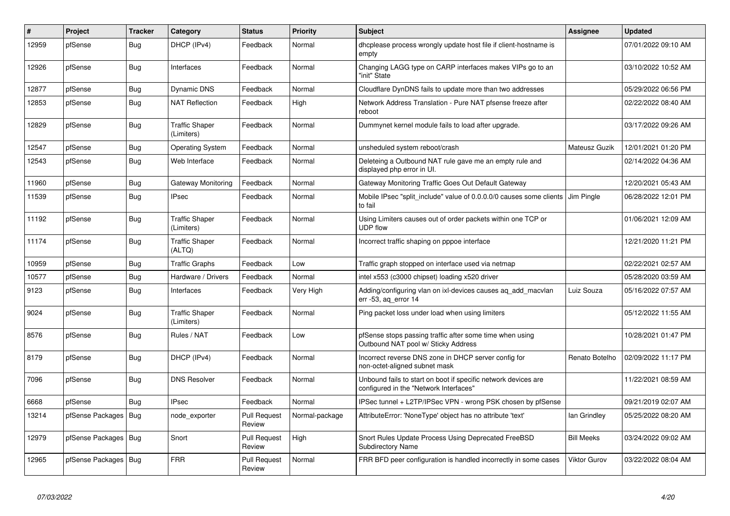| #     | Project          | <b>Tracker</b> | Category                            | <b>Status</b>                 | <b>Priority</b> | <b>Subject</b>                                                                                           | <b>Assignee</b>     | <b>Updated</b>      |
|-------|------------------|----------------|-------------------------------------|-------------------------------|-----------------|----------------------------------------------------------------------------------------------------------|---------------------|---------------------|
| 12959 | pfSense          | Bug            | DHCP (IPv4)                         | Feedback                      | Normal          | dhoplease process wrongly update host file if client-hostname is<br>empty                                |                     | 07/01/2022 09:10 AM |
| 12926 | pfSense          | <b>Bug</b>     | Interfaces                          | Feedback                      | Normal          | Changing LAGG type on CARP interfaces makes VIPs go to an<br>"init" State                                |                     | 03/10/2022 10:52 AM |
| 12877 | pfSense          | <b>Bug</b>     | <b>Dynamic DNS</b>                  | Feedback                      | Normal          | Cloudflare DynDNS fails to update more than two addresses                                                |                     | 05/29/2022 06:56 PM |
| 12853 | pfSense          | Bug            | <b>NAT Reflection</b>               | Feedback                      | High            | Network Address Translation - Pure NAT pfsense freeze after<br>reboot                                    |                     | 02/22/2022 08:40 AM |
| 12829 | pfSense          | Bug            | <b>Traffic Shaper</b><br>(Limiters) | Feedback                      | Normal          | Dummynet kernel module fails to load after upgrade.                                                      |                     | 03/17/2022 09:26 AM |
| 12547 | pfSense          | Bug            | <b>Operating System</b>             | Feedback                      | Normal          | unsheduled system reboot/crash                                                                           | Mateusz Guzik       | 12/01/2021 01:20 PM |
| 12543 | pfSense          | <b>Bug</b>     | Web Interface                       | Feedback                      | Normal          | Deleteing a Outbound NAT rule gave me an empty rule and<br>displayed php error in UI.                    |                     | 02/14/2022 04:36 AM |
| 11960 | pfSense          | Bug            | Gateway Monitoring                  | Feedback                      | Normal          | Gateway Monitoring Traffic Goes Out Default Gateway                                                      |                     | 12/20/2021 05:43 AM |
| 11539 | pfSense          | Bug            | <b>IPsec</b>                        | Feedback                      | Normal          | Mobile IPsec "split include" value of 0.0.0.0/0 causes some clients<br>to fail                           | Jim Pingle          | 06/28/2022 12:01 PM |
| 11192 | pfSense          | Bug            | <b>Traffic Shaper</b><br>(Limiters) | Feedback                      | Normal          | Using Limiters causes out of order packets within one TCP or<br>UDP flow                                 |                     | 01/06/2021 12:09 AM |
| 11174 | pfSense          | Bug            | <b>Traffic Shaper</b><br>(ALTQ)     | Feedback                      | Normal          | Incorrect traffic shaping on pppoe interface                                                             |                     | 12/21/2020 11:21 PM |
| 10959 | pfSense          | Bug            | <b>Traffic Graphs</b>               | Feedback                      | Low             | Traffic graph stopped on interface used via netmap                                                       |                     | 02/22/2021 02:57 AM |
| 10577 | pfSense          | Bug            | Hardware / Drivers                  | Feedback                      | Normal          | intel x553 (c3000 chipset) loading x520 driver                                                           |                     | 05/28/2020 03:59 AM |
| 9123  | pfSense          | Bug            | Interfaces                          | Feedback                      | Very High       | Adding/configuring vlan on ixi-devices causes ag add macvlan<br>err -53, aq_error 14                     | Luiz Souza          | 05/16/2022 07:57 AM |
| 9024  | pfSense          | Bug            | <b>Traffic Shaper</b><br>(Limiters) | Feedback                      | Normal          | Ping packet loss under load when using limiters                                                          |                     | 05/12/2022 11:55 AM |
| 8576  | pfSense          | <b>Bug</b>     | Rules / NAT                         | Feedback                      | Low             | pfSense stops passing traffic after some time when using<br>Outbound NAT pool w/ Sticky Address          |                     | 10/28/2021 01:47 PM |
| 8179  | pfSense          | <b>Bug</b>     | DHCP (IPv4)                         | Feedback                      | Normal          | Incorrect reverse DNS zone in DHCP server config for<br>non-octet-aligned subnet mask                    | Renato Botelho      | 02/09/2022 11:17 PM |
| 7096  | pfSense          | Bug            | <b>DNS Resolver</b>                 | Feedback                      | Normal          | Unbound fails to start on boot if specific network devices are<br>configured in the "Network Interfaces" |                     | 11/22/2021 08:59 AM |
| 6668  | pfSense          | <b>Bug</b>     | <b>IPsec</b>                        | Feedback                      | Normal          | IPSec tunnel + L2TP/IPSec VPN - wrong PSK chosen by pfSense                                              |                     | 09/21/2019 02:07 AM |
| 13214 | pfSense Packages | <b>Bug</b>     | node exporter                       | <b>Pull Request</b><br>Review | Normal-package  | AttributeError: 'NoneType' object has no attribute 'text'                                                | lan Grindley        | 05/25/2022 08:20 AM |
| 12979 | pfSense Packages | Bug            | Snort                               | <b>Pull Request</b><br>Review | High            | Snort Rules Update Process Using Deprecated FreeBSD<br><b>Subdirectory Name</b>                          | <b>Bill Meeks</b>   | 03/24/2022 09:02 AM |
| 12965 | pfSense Packages | Bug            | <b>FRR</b>                          | <b>Pull Request</b><br>Review | Normal          | FRR BFD peer configuration is handled incorrectly in some cases                                          | <b>Viktor Gurov</b> | 03/22/2022 08:04 AM |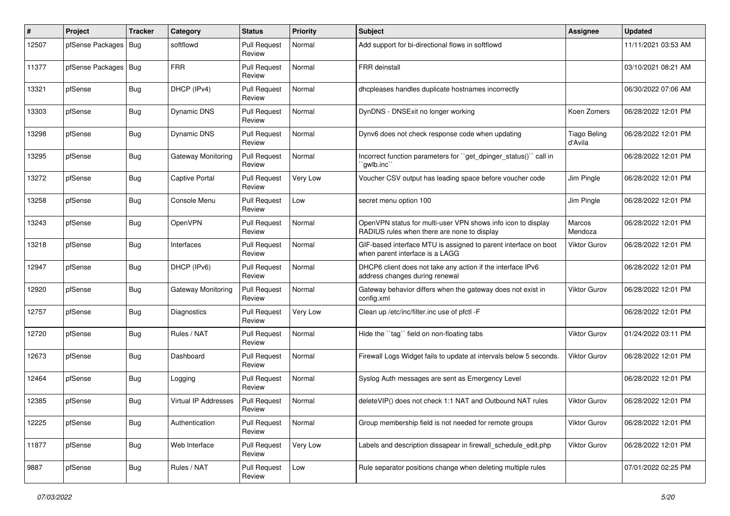| #     | Project          | <b>Tracker</b> | Category              | <b>Status</b>                 | Priority | <b>Subject</b>                                                                                              | <b>Assignee</b>                | <b>Updated</b>      |
|-------|------------------|----------------|-----------------------|-------------------------------|----------|-------------------------------------------------------------------------------------------------------------|--------------------------------|---------------------|
| 12507 | pfSense Packages | Bug            | softflowd             | <b>Pull Request</b><br>Review | Normal   | Add support for bi-directional flows in softflowd                                                           |                                | 11/11/2021 03:53 AM |
| 11377 | pfSense Packages | I Bug          | <b>FRR</b>            | <b>Pull Request</b><br>Review | Normal   | <b>FRR</b> deinstall                                                                                        |                                | 03/10/2021 08:21 AM |
| 13321 | pfSense          | Bug            | DHCP (IPv4)           | <b>Pull Request</b><br>Review | Normal   | dhcpleases handles duplicate hostnames incorrectly                                                          |                                | 06/30/2022 07:06 AM |
| 13303 | pfSense          | Bug            | <b>Dynamic DNS</b>    | <b>Pull Request</b><br>Review | Normal   | DynDNS - DNSExit no longer working                                                                          | Koen Zomers                    | 06/28/2022 12:01 PM |
| 13298 | pfSense          | Bug            | <b>Dynamic DNS</b>    | <b>Pull Request</b><br>Review | Normal   | Dynv6 does not check response code when updating                                                            | <b>Tiago Beling</b><br>d'Avila | 06/28/2022 12:01 PM |
| 13295 | pfSense          | Bug            | Gateway Monitoring    | <b>Pull Request</b><br>Review | Normal   | Incorrect function parameters for "get_dpinger_status()" call in<br>`qwlb.inc`                              |                                | 06/28/2022 12:01 PM |
| 13272 | pfSense          | Bug            | <b>Captive Portal</b> | <b>Pull Request</b><br>Review | Very Low | Voucher CSV output has leading space before voucher code                                                    | Jim Pingle                     | 06/28/2022 12:01 PM |
| 13258 | pfSense          | Bug            | Console Menu          | <b>Pull Request</b><br>Review | Low      | secret menu option 100                                                                                      | Jim Pingle                     | 06/28/2022 12:01 PM |
| 13243 | pfSense          | <b>Bug</b>     | OpenVPN               | <b>Pull Request</b><br>Review | Normal   | OpenVPN status for multi-user VPN shows info icon to display<br>RADIUS rules when there are none to display | Marcos<br>Mendoza              | 06/28/2022 12:01 PM |
| 13218 | pfSense          | Bug            | Interfaces            | <b>Pull Request</b><br>Review | Normal   | GIF-based interface MTU is assigned to parent interface on boot<br>when parent interface is a LAGG          | <b>Viktor Gurov</b>            | 06/28/2022 12:01 PM |
| 12947 | pfSense          | <b>Bug</b>     | DHCP (IPv6)           | <b>Pull Request</b><br>Review | Normal   | DHCP6 client does not take any action if the interface IPv6<br>address changes during renewal               |                                | 06/28/2022 12:01 PM |
| 12920 | pfSense          | Bug            | Gateway Monitoring    | <b>Pull Request</b><br>Review | Normal   | Gateway behavior differs when the gateway does not exist in<br>config.xml                                   | <b>Viktor Gurov</b>            | 06/28/2022 12:01 PM |
| 12757 | pfSense          | <b>Bug</b>     | Diagnostics           | <b>Pull Request</b><br>Review | Very Low | Clean up /etc/inc/filter.inc use of pfctl -F                                                                |                                | 06/28/2022 12:01 PM |
| 12720 | pfSense          | <b>Bug</b>     | Rules / NAT           | <b>Pull Request</b><br>Review | Normal   | Hide the "tag" field on non-floating tabs                                                                   | <b>Viktor Gurov</b>            | 01/24/2022 03:11 PM |
| 12673 | pfSense          | Bug            | Dashboard             | <b>Pull Request</b><br>Review | Normal   | Firewall Logs Widget fails to update at intervals below 5 seconds.                                          | <b>Viktor Gurov</b>            | 06/28/2022 12:01 PM |
| 12464 | pfSense          | <b>Bug</b>     | Logging               | <b>Pull Request</b><br>Review | Normal   | Syslog Auth messages are sent as Emergency Level                                                            |                                | 06/28/2022 12:01 PM |
| 12385 | pfSense          | Bug            | Virtual IP Addresses  | <b>Pull Request</b><br>Review | Normal   | delete VIP() does not check 1:1 NAT and Outbound NAT rules                                                  | Viktor Gurov                   | 06/28/2022 12:01 PM |
| 12225 | pfSense          | Bug            | Authentication        | <b>Pull Request</b><br>Review | Normal   | Group membership field is not needed for remote groups                                                      | Viktor Gurov                   | 06/28/2022 12:01 PM |
| 11877 | pfSense          | <b>Bug</b>     | Web Interface         | <b>Pull Request</b><br>Review | Very Low | Labels and description dissapear in firewall_schedule_edit.php                                              | <b>Viktor Gurov</b>            | 06/28/2022 12:01 PM |
| 9887  | pfSense          | Bug            | Rules / NAT           | <b>Pull Request</b><br>Review | Low      | Rule separator positions change when deleting multiple rules                                                |                                | 07/01/2022 02:25 PM |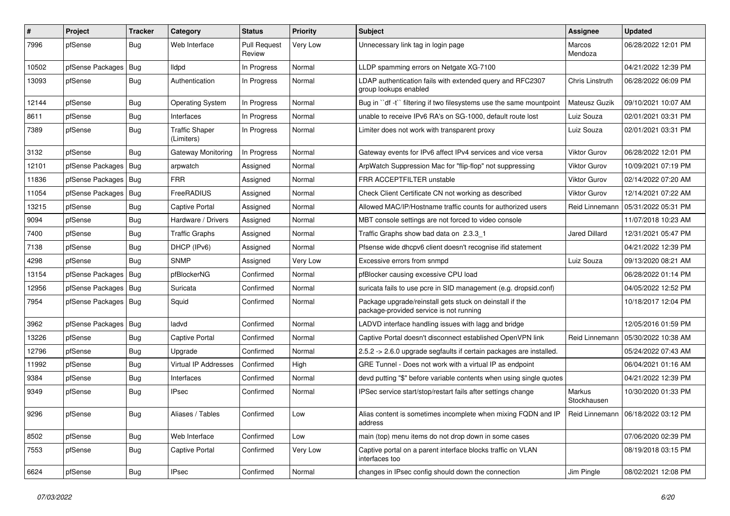| $\#$  | Project          | Tracker    | Category                            | <b>Status</b>                 | <b>Priority</b> | <b>Subject</b>                                                                                                  | <b>Assignee</b>          | <b>Updated</b>      |
|-------|------------------|------------|-------------------------------------|-------------------------------|-----------------|-----------------------------------------------------------------------------------------------------------------|--------------------------|---------------------|
| 7996  | pfSense          | Bug        | Web Interface                       | <b>Pull Request</b><br>Review | Very Low        | Unnecessary link tag in login page                                                                              | <b>Marcos</b><br>Mendoza | 06/28/2022 12:01 PM |
| 10502 | pfSense Packages | Bug        | lldpd                               | In Progress                   | Normal          | LLDP spamming errors on Netgate XG-7100                                                                         |                          | 04/21/2022 12:39 PM |
| 13093 | pfSense          | Bug        | Authentication                      | In Progress                   | Normal          | LDAP authentication fails with extended query and RFC2307<br>group lookups enabled                              | Chris Linstruth          | 06/28/2022 06:09 PM |
| 12144 | pfSense          | <b>Bug</b> | <b>Operating System</b>             | In Progress                   | Normal          | Bug in "df -t" filtering if two filesystems use the same mountpoint                                             | Mateusz Guzik            | 09/10/2021 10:07 AM |
| 8611  | pfSense          | Bug        | Interfaces                          | In Progress                   | Normal          | unable to receive IPv6 RA's on SG-1000, default route lost                                                      | Luiz Souza               | 02/01/2021 03:31 PM |
| 7389  | pfSense          | Bug        | <b>Traffic Shaper</b><br>(Limiters) | In Progress                   | Normal          | Limiter does not work with transparent proxy                                                                    | Luiz Souza               | 02/01/2021 03:31 PM |
| 3132  | pfSense          | <b>Bug</b> | Gateway Monitoring                  | In Progress                   | Normal          | Gateway events for IPv6 affect IPv4 services and vice versa                                                     | <b>Viktor Gurov</b>      | 06/28/2022 12:01 PM |
| 12101 | pfSense Packages | Bug        | arpwatch                            | Assigned                      | Normal          | ArpWatch Suppression Mac for "flip-flop" not suppressing                                                        | Viktor Gurov             | 10/09/2021 07:19 PM |
| 11836 | pfSense Packages | Bug        | <b>FRR</b>                          | Assigned                      | Normal          | FRR ACCEPTFILTER unstable                                                                                       | <b>Viktor Gurov</b>      | 02/14/2022 07:20 AM |
| 11054 | pfSense Packages | Bug        | FreeRADIUS                          | Assigned                      | Normal          | Check Client Certificate CN not working as described                                                            | <b>Viktor Gurov</b>      | 12/14/2021 07:22 AM |
| 13215 | pfSense          | <b>Bug</b> | <b>Captive Portal</b>               | Assigned                      | Normal          | Allowed MAC/IP/Hostname traffic counts for authorized users                                                     | Reid Linnemann           | 05/31/2022 05:31 PM |
| 9094  | pfSense          | Bug        | Hardware / Drivers                  | Assigned                      | Normal          | MBT console settings are not forced to video console                                                            |                          | 11/07/2018 10:23 AM |
| 7400  | pfSense          | <b>Bug</b> | <b>Traffic Graphs</b>               | Assigned                      | Normal          | Traffic Graphs show bad data on 2.3.3 1                                                                         | Jared Dillard            | 12/31/2021 05:47 PM |
| 7138  | pfSense          | Bug        | DHCP (IPv6)                         | Assigned                      | Normal          | Pfsense wide dhcpv6 client doesn't recognise ifid statement                                                     |                          | 04/21/2022 12:39 PM |
| 4298  | pfSense          | Bug        | <b>SNMP</b>                         | Assigned                      | Very Low        | Excessive errors from snmpd                                                                                     | Luiz Souza               | 09/13/2020 08:21 AM |
| 13154 | pfSense Packages | <b>Bug</b> | pfBlockerNG                         | Confirmed                     | Normal          | pfBlocker causing excessive CPU load                                                                            |                          | 06/28/2022 01:14 PM |
| 12956 | pfSense Packages | Bug        | Suricata                            | Confirmed                     | Normal          | suricata fails to use pcre in SID management (e.g. dropsid.conf)                                                |                          | 04/05/2022 12:52 PM |
| 7954  | pfSense Packages | <b>Bug</b> | Squid                               | Confirmed                     | Normal          | Package upgrade/reinstall gets stuck on deinstall if the<br>package-provided service is not running             |                          | 10/18/2017 12:04 PM |
| 3962  | pfSense Packages | Bug        | ladvd                               | Confirmed                     | Normal          | LADVD interface handling issues with lagg and bridge                                                            |                          | 12/05/2016 01:59 PM |
| 13226 | pfSense          | Bug        | <b>Captive Portal</b>               | Confirmed                     | Normal          | Captive Portal doesn't disconnect established OpenVPN link                                                      | Reid Linnemann           | 05/30/2022 10:38 AM |
| 12796 | pfSense          | Bug        | Upgrade                             | Confirmed                     | Normal          | 2.5.2 -> 2.6.0 upgrade segfaults if certain packages are installed.                                             |                          | 05/24/2022 07:43 AM |
| 11992 | pfSense          | Bug        | Virtual IP Addresses                | Confirmed                     | High            | GRE Tunnel - Does not work with a virtual IP as endpoint                                                        |                          | 06/04/2021 01:16 AM |
| 9384  | pfSense          | <b>Bug</b> | Interfaces                          | Confirmed                     | Normal          | devd putting "\$" before variable contents when using single quotes                                             |                          | 04/21/2022 12:39 PM |
| 9349  | pfSense          | Bug        | <b>IPsec</b>                        | Confirmed                     | Normal          | IPSec service start/stop/restart fails after settings change                                                    | Markus<br>Stockhausen    | 10/30/2020 01:33 PM |
| 9296  | pfSense          | Bug        | Aliases / Tables                    | Confirmed                     | Low             | Alias content is sometimes incomplete when mixing FQDN and IP   Reid Linnemann   06/18/2022 03:12 PM<br>address |                          |                     |
| 8502  | pfSense          | <b>Bug</b> | Web Interface                       | Confirmed                     | Low             | main (top) menu items do not drop down in some cases                                                            |                          | 07/06/2020 02:39 PM |
| 7553  | pfSense          | <b>Bug</b> | <b>Captive Portal</b>               | Confirmed                     | Very Low        | Captive portal on a parent interface blocks traffic on VLAN<br>interfaces too                                   |                          | 08/19/2018 03:15 PM |
| 6624  | pfSense          | Bug        | <b>IPsec</b>                        | Confirmed                     | Normal          | changes in IPsec config should down the connection                                                              | Jim Pingle               | 08/02/2021 12:08 PM |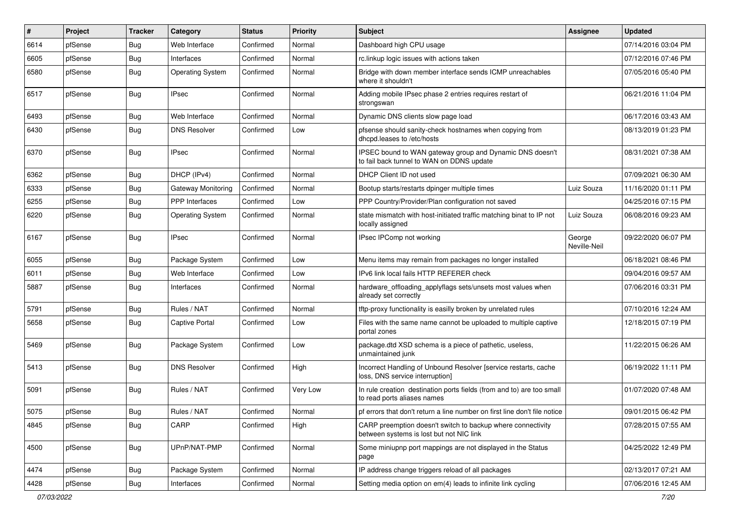| #    | Project | Tracker    | Category                | <b>Status</b> | <b>Priority</b> | Subject                                                                                                 | <b>Assignee</b>        | <b>Updated</b>      |
|------|---------|------------|-------------------------|---------------|-----------------|---------------------------------------------------------------------------------------------------------|------------------------|---------------------|
| 6614 | pfSense | Bug        | Web Interface           | Confirmed     | Normal          | Dashboard high CPU usage                                                                                |                        | 07/14/2016 03:04 PM |
| 6605 | pfSense | Bug        | Interfaces              | Confirmed     | Normal          | rc.linkup logic issues with actions taken                                                               |                        | 07/12/2016 07:46 PM |
| 6580 | pfSense | Bug        | <b>Operating System</b> | Confirmed     | Normal          | Bridge with down member interface sends ICMP unreachables<br>where it shouldn't                         |                        | 07/05/2016 05:40 PM |
| 6517 | pfSense | Bug        | <b>IPsec</b>            | Confirmed     | Normal          | Adding mobile IPsec phase 2 entries requires restart of<br>strongswan                                   |                        | 06/21/2016 11:04 PM |
| 6493 | pfSense | Bug        | Web Interface           | Confirmed     | Normal          | Dynamic DNS clients slow page load                                                                      |                        | 06/17/2016 03:43 AM |
| 6430 | pfSense | Bug        | <b>DNS Resolver</b>     | Confirmed     | Low             | pfsense should sanity-check hostnames when copying from<br>dhcpd.leases to /etc/hosts                   |                        | 08/13/2019 01:23 PM |
| 6370 | pfSense | Bug        | <b>IPsec</b>            | Confirmed     | Normal          | IPSEC bound to WAN gateway group and Dynamic DNS doesn't<br>to fail back tunnel to WAN on DDNS update   |                        | 08/31/2021 07:38 AM |
| 6362 | pfSense | Bug        | DHCP (IPv4)             | Confirmed     | Normal          | DHCP Client ID not used                                                                                 |                        | 07/09/2021 06:30 AM |
| 6333 | pfSense | <b>Bug</b> | Gateway Monitoring      | Confirmed     | Normal          | Bootup starts/restarts dpinger multiple times                                                           | Luiz Souza             | 11/16/2020 01:11 PM |
| 6255 | pfSense | Bug        | <b>PPP</b> Interfaces   | Confirmed     | Low             | PPP Country/Provider/Plan configuration not saved                                                       |                        | 04/25/2016 07:15 PM |
| 6220 | pfSense | <b>Bug</b> | <b>Operating System</b> | Confirmed     | Normal          | state mismatch with host-initiated traffic matching binat to IP not<br>locally assigned                 | Luiz Souza             | 06/08/2016 09:23 AM |
| 6167 | pfSense | <b>Bug</b> | <b>IPsec</b>            | Confirmed     | Normal          | IPsec IPComp not working                                                                                | George<br>Neville-Neil | 09/22/2020 06:07 PM |
| 6055 | pfSense | Bug        | Package System          | Confirmed     | Low             | Menu items may remain from packages no longer installed                                                 |                        | 06/18/2021 08:46 PM |
| 6011 | pfSense | Bug        | Web Interface           | Confirmed     | Low             | IPv6 link local fails HTTP REFERER check                                                                |                        | 09/04/2016 09:57 AM |
| 5887 | pfSense | Bug        | Interfaces              | Confirmed     | Normal          | hardware_offloading_applyflags sets/unsets most values when<br>already set correctly                    |                        | 07/06/2016 03:31 PM |
| 5791 | pfSense | Bug        | Rules / NAT             | Confirmed     | Normal          | tftp-proxy functionality is easilly broken by unrelated rules                                           |                        | 07/10/2016 12:24 AM |
| 5658 | pfSense | Bug        | Captive Portal          | Confirmed     | Low             | Files with the same name cannot be uploaded to multiple captive<br>portal zones                         |                        | 12/18/2015 07:19 PM |
| 5469 | pfSense | Bug        | Package System          | Confirmed     | Low             | package.dtd XSD schema is a piece of pathetic, useless,<br>unmaintained junk                            |                        | 11/22/2015 06:26 AM |
| 5413 | pfSense | Bug        | <b>DNS Resolver</b>     | Confirmed     | High            | Incorrect Handling of Unbound Resolver [service restarts, cache<br>loss, DNS service interruption]      |                        | 06/19/2022 11:11 PM |
| 5091 | pfSense | Bug        | Rules / NAT             | Confirmed     | Very Low        | In rule creation destination ports fields (from and to) are too small<br>to read ports aliases names    |                        | 01/07/2020 07:48 AM |
| 5075 | pfSense | <b>Bug</b> | Rules / NAT             | Confirmed     | Normal          | pf errors that don't return a line number on first line don't file notice                               |                        | 09/01/2015 06:42 PM |
| 4845 | pfSense | Bug        | CARP                    | Confirmed     | High            | CARP preemption doesn't switch to backup where connectivity<br>between systems is lost but not NIC link |                        | 07/28/2015 07:55 AM |
| 4500 | pfSense | <b>Bug</b> | UPnP/NAT-PMP            | Confirmed     | Normal          | Some miniupnp port mappings are not displayed in the Status<br>page                                     |                        | 04/25/2022 12:49 PM |
| 4474 | pfSense | <b>Bug</b> | Package System          | Confirmed     | Normal          | IP address change triggers reload of all packages                                                       |                        | 02/13/2017 07:21 AM |
| 4428 | pfSense | <b>Bug</b> | Interfaces              | Confirmed     | Normal          | Setting media option on em(4) leads to infinite link cycling                                            |                        | 07/06/2016 12:45 AM |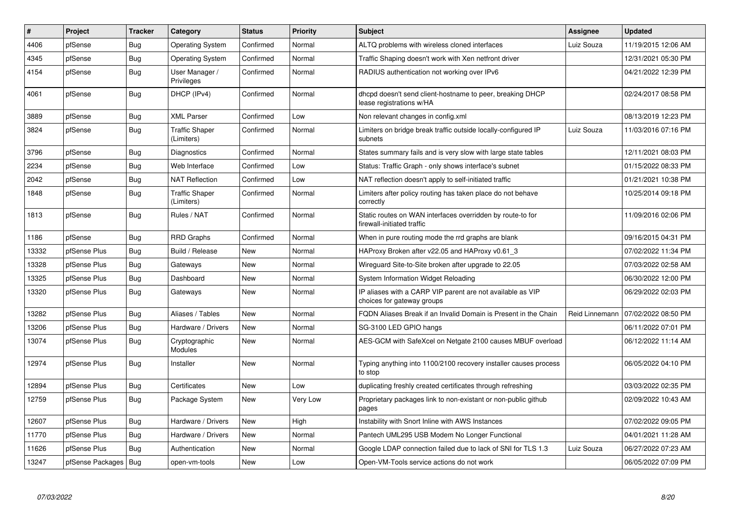| #     | Project                | <b>Tracker</b> | Category                            | <b>Status</b> | <b>Priority</b> | <b>Subject</b>                                                                           | Assignee       | <b>Updated</b>      |
|-------|------------------------|----------------|-------------------------------------|---------------|-----------------|------------------------------------------------------------------------------------------|----------------|---------------------|
| 4406  | pfSense                | <b>Bug</b>     | <b>Operating System</b>             | Confirmed     | Normal          | ALTQ problems with wireless cloned interfaces                                            | Luiz Souza     | 11/19/2015 12:06 AM |
| 4345  | pfSense                | Bug            | <b>Operating System</b>             | Confirmed     | Normal          | Traffic Shaping doesn't work with Xen netfront driver                                    |                | 12/31/2021 05:30 PM |
| 4154  | pfSense                | <b>Bug</b>     | User Manager /<br>Privileges        | Confirmed     | Normal          | RADIUS authentication not working over IPv6                                              |                | 04/21/2022 12:39 PM |
| 4061  | pfSense                | <b>Bug</b>     | DHCP (IPv4)                         | Confirmed     | Normal          | dhcpd doesn't send client-hostname to peer, breaking DHCP<br>lease registrations w/HA    |                | 02/24/2017 08:58 PM |
| 3889  | pfSense                | Bug            | <b>XML Parser</b>                   | Confirmed     | Low             | Non relevant changes in config.xml                                                       |                | 08/13/2019 12:23 PM |
| 3824  | pfSense                | Bug            | <b>Traffic Shaper</b><br>(Limiters) | Confirmed     | Normal          | Limiters on bridge break traffic outside locally-configured IP<br>subnets                | Luiz Souza     | 11/03/2016 07:16 PM |
| 3796  | pfSense                | <b>Bug</b>     | Diagnostics                         | Confirmed     | Normal          | States summary fails and is very slow with large state tables                            |                | 12/11/2021 08:03 PM |
| 2234  | pfSense                | <b>Bug</b>     | Web Interface                       | Confirmed     | Low             | Status: Traffic Graph - only shows interface's subnet                                    |                | 01/15/2022 08:33 PM |
| 2042  | pfSense                | <b>Bug</b>     | <b>NAT Reflection</b>               | Confirmed     | Low             | NAT reflection doesn't apply to self-initiated traffic                                   |                | 01/21/2021 10:38 PM |
| 1848  | pfSense                | Bug            | <b>Traffic Shaper</b><br>(Limiters) | Confirmed     | Normal          | Limiters after policy routing has taken place do not behave<br>correctly                 |                | 10/25/2014 09:18 PM |
| 1813  | pfSense                | Bug            | Rules / NAT                         | Confirmed     | Normal          | Static routes on WAN interfaces overridden by route-to for<br>firewall-initiated traffic |                | 11/09/2016 02:06 PM |
| 1186  | pfSense                | Bug            | <b>RRD Graphs</b>                   | Confirmed     | Normal          | When in pure routing mode the rrd graphs are blank                                       |                | 09/16/2015 04:31 PM |
| 13332 | pfSense Plus           | <b>Bug</b>     | Build / Release                     | New           | Normal          | HAProxy Broken after v22.05 and HAProxy v0.61 3                                          |                | 07/02/2022 11:34 PM |
| 13328 | pfSense Plus           | <b>Bug</b>     | Gateways                            | <b>New</b>    | Normal          | Wireguard Site-to-Site broken after upgrade to 22.05                                     |                | 07/03/2022 02:58 AM |
| 13325 | pfSense Plus           | Bug            | Dashboard                           | New           | Normal          | System Information Widget Reloading                                                      |                | 06/30/2022 12:00 PM |
| 13320 | pfSense Plus           | Bug            | Gateways                            | <b>New</b>    | Normal          | IP aliases with a CARP VIP parent are not available as VIP<br>choices for gateway groups |                | 06/29/2022 02:03 PM |
| 13282 | pfSense Plus           | Bug            | Aliases / Tables                    | <b>New</b>    | Normal          | FQDN Aliases Break if an Invalid Domain is Present in the Chain                          | Reid Linnemann | 07/02/2022 08:50 PM |
| 13206 | pfSense Plus           | <b>Bug</b>     | Hardware / Drivers                  | <b>New</b>    | Normal          | SG-3100 LED GPIO hangs                                                                   |                | 06/11/2022 07:01 PM |
| 13074 | pfSense Plus           | <b>Bug</b>     | Cryptographic<br>Modules            | <b>New</b>    | Normal          | AES-GCM with SafeXcel on Netgate 2100 causes MBUF overload                               |                | 06/12/2022 11:14 AM |
| 12974 | pfSense Plus           | <b>Bug</b>     | Installer                           | <b>New</b>    | Normal          | Typing anything into 1100/2100 recovery installer causes process<br>to stop              |                | 06/05/2022 04:10 PM |
| 12894 | pfSense Plus           | <b>Bug</b>     | Certificates                        | <b>New</b>    | Low             | duplicating freshly created certificates through refreshing                              |                | 03/03/2022 02:35 PM |
| 12759 | pfSense Plus           | Bug            | Package System                      | <b>New</b>    | Very Low        | Proprietary packages link to non-existant or non-public github<br>pages                  |                | 02/09/2022 10:43 AM |
| 12607 | pfSense Plus           | <b>Bug</b>     | Hardware / Drivers                  | <b>New</b>    | High            | Instability with Snort Inline with AWS Instances                                         |                | 07/02/2022 09:05 PM |
| 11770 | pfSense Plus           | Bug            | Hardware / Drivers                  | New           | Normal          | Pantech UML295 USB Modem No Longer Functional                                            |                | 04/01/2021 11:28 AM |
| 11626 | pfSense Plus           | Bug            | Authentication                      | <b>New</b>    | Normal          | Google LDAP connection failed due to lack of SNI for TLS 1.3                             | Luiz Souza     | 06/27/2022 07:23 AM |
| 13247 | pfSense Packages   Bug |                | open-vm-tools                       | <b>New</b>    | Low             | Open-VM-Tools service actions do not work                                                |                | 06/05/2022 07:09 PM |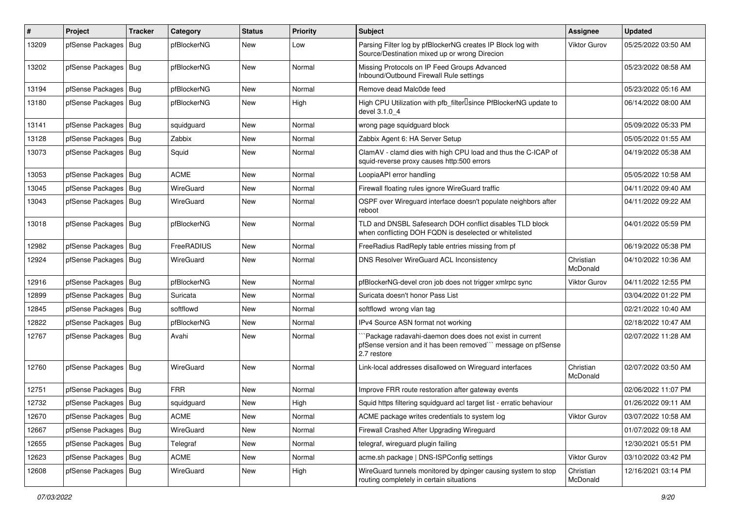| #     | Project                | <b>Tracker</b> | Category    | <b>Status</b> | <b>Priority</b> | Subject                                                                                                                               | <b>Assignee</b>       | <b>Updated</b>      |
|-------|------------------------|----------------|-------------|---------------|-----------------|---------------------------------------------------------------------------------------------------------------------------------------|-----------------------|---------------------|
| 13209 | pfSense Packages       | <b>Bug</b>     | pfBlockerNG | <b>New</b>    | Low             | Parsing Filter log by pfBlockerNG creates IP Block log with<br>Source/Destination mixed up or wrong Direcion                          | <b>Viktor Gurov</b>   | 05/25/2022 03:50 AM |
| 13202 | pfSense Packages       | Bug            | pfBlockerNG | <b>New</b>    | Normal          | Missing Protocols on IP Feed Groups Advanced<br>Inbound/Outbound Firewall Rule settings                                               |                       | 05/23/2022 08:58 AM |
| 13194 | pfSense Packages       | Bug            | pfBlockerNG | <b>New</b>    | Normal          | Remove dead Malc0de feed                                                                                                              |                       | 05/23/2022 05:16 AM |
| 13180 | pfSense Packages       | Bug            | pfBlockerNG | New           | High            | High CPU Utilization with pfb_filter <sup>[]</sup> since PfBlockerNG update to<br>devel 3.1.0 4                                       |                       | 06/14/2022 08:00 AM |
| 13141 | pfSense Packages       | Bug            | squidguard  | <b>New</b>    | Normal          | wrong page squidguard block                                                                                                           |                       | 05/09/2022 05:33 PM |
| 13128 | pfSense Packages       | Bug            | Zabbix      | New           | Normal          | Zabbix Agent 6: HA Server Setup                                                                                                       |                       | 05/05/2022 01:55 AM |
| 13073 | pfSense Packages   Bug |                | Squid       | New           | Normal          | ClamAV - clamd dies with high CPU load and thus the C-ICAP of<br>squid-reverse proxy causes http:500 errors                           |                       | 04/19/2022 05:38 AM |
| 13053 | pfSense Packages   Bug |                | <b>ACME</b> | <b>New</b>    | Normal          | LoopiaAPI error handling                                                                                                              |                       | 05/05/2022 10:58 AM |
| 13045 | pfSense Packages       | Bug            | WireGuard   | <b>New</b>    | Normal          | Firewall floating rules ignore WireGuard traffic                                                                                      |                       | 04/11/2022 09:40 AM |
| 13043 | pfSense Packages       | Bug            | WireGuard   | New           | Normal          | OSPF over Wireguard interface doesn't populate neighbors after<br>reboot                                                              |                       | 04/11/2022 09:22 AM |
| 13018 | pfSense Packages       | Bug            | pfBlockerNG | New           | Normal          | TLD and DNSBL Safesearch DOH conflict disables TLD block<br>when conflicting DOH FQDN is deselected or whitelisted                    |                       | 04/01/2022 05:59 PM |
| 12982 | pfSense Packages   Bug |                | FreeRADIUS  | New           | Normal          | FreeRadius RadReply table entries missing from pf                                                                                     |                       | 06/19/2022 05:38 PM |
| 12924 | pfSense Packages   Bug |                | WireGuard   | New           | Normal          | DNS Resolver WireGuard ACL Inconsistency                                                                                              | Christian<br>McDonald | 04/10/2022 10:36 AM |
| 12916 | pfSense Packages       | <b>Bug</b>     | pfBlockerNG | <b>New</b>    | Normal          | pfBlockerNG-devel cron job does not trigger xmlrpc sync                                                                               | <b>Viktor Gurov</b>   | 04/11/2022 12:55 PM |
| 12899 | pfSense Packages       | Bug            | Suricata    | New           | Normal          | Suricata doesn't honor Pass List                                                                                                      |                       | 03/04/2022 01:22 PM |
| 12845 | pfSense Packages   Bug |                | softflowd   | New           | Normal          | softflowd wrong vlan tag                                                                                                              |                       | 02/21/2022 10:40 AM |
| 12822 | pfSense Packages       | Bug            | pfBlockerNG | New           | Normal          | IPv4 Source ASN format not working                                                                                                    |                       | 02/18/2022 10:47 AM |
| 12767 | pfSense Packages       | <b>Bug</b>     | Avahi       | New           | Normal          | `Package radavahi-daemon does does not exist in current<br>pfSense version and it has been removed" message on pfSense<br>2.7 restore |                       | 02/07/2022 11:28 AM |
| 12760 | pfSense Packages       | Bug            | WireGuard   | <b>New</b>    | Normal          | Link-local addresses disallowed on Wireguard interfaces                                                                               | Christian<br>McDonald | 02/07/2022 03:50 AM |
| 12751 | pfSense Packages   Bug |                | <b>FRR</b>  | New           | Normal          | Improve FRR route restoration after gateway events                                                                                    |                       | 02/06/2022 11:07 PM |
| 12732 | pfSense Packages   Bug |                | squidguard  | New           | High            | Squid https filtering squidguard acl target list - erratic behaviour                                                                  |                       | 01/26/2022 09:11 AM |
| 12670 | pfSense Packages   Bug |                | <b>ACME</b> | New           | Normal          | ACME package writes credentials to system log                                                                                         | <b>Viktor Gurov</b>   | 03/07/2022 10:58 AM |
| 12667 | pfSense Packages   Bug |                | WireGuard   | New           | Normal          | Firewall Crashed After Upgrading Wireguard                                                                                            |                       | 01/07/2022 09:18 AM |
| 12655 | pfSense Packages   Bug |                | Telegraf    | New           | Normal          | telegraf, wireguard plugin failing                                                                                                    |                       | 12/30/2021 05:51 PM |
| 12623 | pfSense Packages   Bug |                | ACME        | New           | Normal          | acme.sh package   DNS-ISPConfig settings                                                                                              | <b>Viktor Gurov</b>   | 03/10/2022 03:42 PM |
| 12608 | pfSense Packages   Bug |                | WireGuard   | New           | High            | WireGuard tunnels monitored by dpinger causing system to stop<br>routing completely in certain situations                             | Christian<br>McDonald | 12/16/2021 03:14 PM |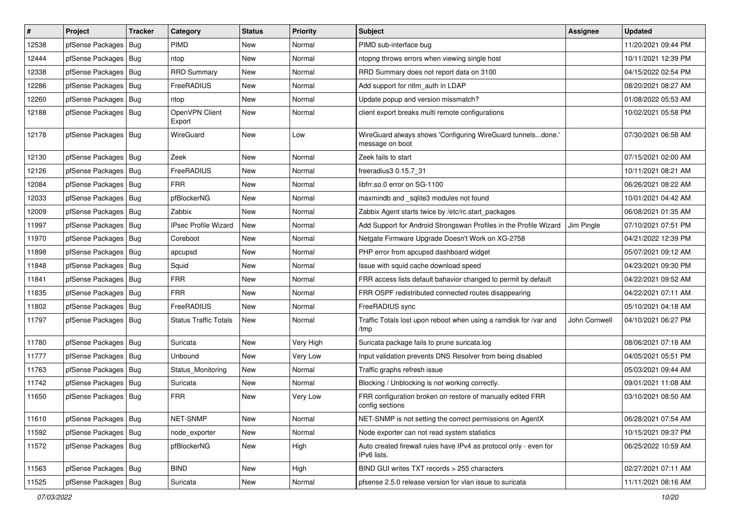| $\vert$ # | Project                | <b>Tracker</b> | Category                     | <b>Status</b> | <b>Priority</b> | Subject                                                                          | <b>Assignee</b> | <b>Updated</b>      |
|-----------|------------------------|----------------|------------------------------|---------------|-----------------|----------------------------------------------------------------------------------|-----------------|---------------------|
| 12538     | pfSense Packages       | Bug            | <b>PIMD</b>                  | New           | Normal          | PIMD sub-interface bug                                                           |                 | 11/20/2021 09:44 PM |
| 12444     | pfSense Packages   Bug |                | ntop                         | New           | Normal          | ntopng throws errors when viewing single host                                    |                 | 10/11/2021 12:39 PM |
| 12338     | pfSense Packages   Bug |                | <b>RRD Summary</b>           | New           | Normal          | RRD Summary does not report data on 3100                                         |                 | 04/15/2022 02:54 PM |
| 12286     | pfSense Packages   Bug |                | FreeRADIUS                   | New           | Normal          | Add support for ntlm_auth in LDAP                                                |                 | 08/20/2021 08:27 AM |
| 12260     | pfSense Packages       | Bug            | ntop                         | <b>New</b>    | Normal          | Update popup and version missmatch?                                              |                 | 01/08/2022 05:53 AM |
| 12188     | pfSense Packages   Bug |                | OpenVPN Client<br>Export     | New           | Normal          | client export breaks multi remote configurations                                 |                 | 10/02/2021 05:58 PM |
| 12178     | pfSense Packages   Bug |                | WireGuard                    | New           | Low             | WireGuard always shows 'Configuring WireGuard tunnelsdone.'<br>message on boot   |                 | 07/30/2021 06:58 AM |
| 12130     | pfSense Packages   Bug |                | Zeek                         | New           | Normal          | Zeek fails to start                                                              |                 | 07/15/2021 02:00 AM |
| 12126     | pfSense Packages       | Bug            | FreeRADIUS                   | New           | Normal          | freeradius3 0.15.7 31                                                            |                 | 10/11/2021 08:21 AM |
| 12084     | pfSense Packages   Bug |                | <b>FRR</b>                   | New           | Normal          | libfrr.so.0 error on SG-1100                                                     |                 | 06/26/2021 08:22 AM |
| 12033     | pfSense Packages       | Bug            | pfBlockerNG                  | New           | Normal          | maxmindb and _sqlite3 modules not found                                          |                 | 10/01/2021 04:42 AM |
| 12009     | pfSense Packages       | Bug            | Zabbix                       | New           | Normal          | Zabbix Agent starts twice by /etc/rc.start packages                              |                 | 06/08/2021 01:35 AM |
| 11997     | pfSense Packages   Bug |                | <b>IPsec Profile Wizard</b>  | New           | Normal          | Add Support for Android Strongswan Profiles in the Profile Wizard                | Jim Pingle      | 07/10/2021 07:51 PM |
| 11970     | pfSense Packages       | Bug            | Coreboot                     | New           | Normal          | Netgate Firmware Upgrade Doesn't Work on XG-2758                                 |                 | 04/21/2022 12:39 PM |
| 11898     | pfSense Packages       | Bug            | apcupsd                      | New           | Normal          | PHP error from apcupsd dashboard widget                                          |                 | 05/07/2021 09:12 AM |
| 11848     | pfSense Packages       | Bug            | Squid                        | New           | Normal          | Issue with squid cache download speed                                            |                 | 04/23/2021 09:30 PM |
| 11841     | pfSense Packages   Bug |                | <b>FRR</b>                   | New           | Normal          | FRR access lists default bahavior changed to permit by default                   |                 | 04/22/2021 09:52 AM |
| 11835     | pfSense Packages   Bug |                | <b>FRR</b>                   | New           | Normal          | FRR OSPF redistributed connected routes disappearing                             |                 | 04/22/2021 07:11 AM |
| 11802     | pfSense Packages       | Bug            | FreeRADIUS                   | <b>New</b>    | Normal          | FreeRADIUS sync                                                                  |                 | 05/10/2021 04:18 AM |
| 11797     | pfSense Packages   Bug |                | <b>Status Traffic Totals</b> | New           | Normal          | Traffic Totals lost upon reboot when using a ramdisk for /var and<br>/tmp        | John Cornwell   | 04/10/2021 06:27 PM |
| 11780     | pfSense Packages       | Bug            | Suricata                     | New           | Very High       | Suricata package fails to prune suricata.log                                     |                 | 08/06/2021 07:18 AM |
| 11777     | pfSense Packages       | Bug            | Unbound                      | New           | Very Low        | Input validation prevents DNS Resolver from being disabled                       |                 | 04/05/2021 05:51 PM |
| 11763     | pfSense Packages       | Bug            | Status_Monitoring            | New           | Normal          | Traffic graphs refresh issue                                                     |                 | 05/03/2021 09:44 AM |
| 11742     | pfSense Packages       | Bug            | Suricata                     | New           | Normal          | Blocking / Unblocking is not working correctly.                                  |                 | 09/01/2021 11:08 AM |
| 11650     | pfSense Packages   Bug |                | <b>FRR</b>                   | New           | Very Low        | FRR configuration broken on restore of manually edited FRR<br>config sections    |                 | 03/10/2021 08:50 AM |
| 11610     | pfSense Packages   Bug |                | NET-SNMP                     | New           | Normal          | NET-SNMP is not setting the correct permissions on AgentX                        |                 | 06/28/2021 07:54 AM |
| 11592     | pfSense Packages   Bug |                | node_exporter                | New           | Normal          | Node exporter can not read system statistics                                     |                 | 10/15/2021 09:37 PM |
| 11572     | pfSense Packages   Bug |                | pfBlockerNG                  | New           | High            | Auto created firewall rules have IPv4 as protocol only - even for<br>IPv6 lists. |                 | 06/25/2022 10:59 AM |
| 11563     | pfSense Packages   Bug |                | <b>BIND</b>                  | New           | High            | BIND GUI writes TXT records > 255 characters                                     |                 | 02/27/2021 07:11 AM |
| 11525     | pfSense Packages   Bug |                | Suricata                     | New           | Normal          | pfsense 2.5.0 release version for vlan issue to suricata                         |                 | 11/11/2021 08:16 AM |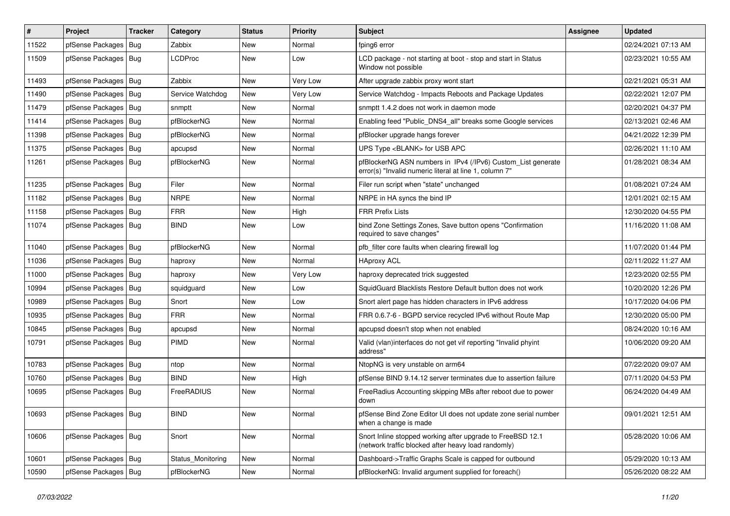| #     | Project                | <b>Tracker</b> | Category          | <b>Status</b> | <b>Priority</b> | <b>Subject</b>                                                                                                         | <b>Assignee</b> | <b>Updated</b>      |
|-------|------------------------|----------------|-------------------|---------------|-----------------|------------------------------------------------------------------------------------------------------------------------|-----------------|---------------------|
| 11522 | pfSense Packages       | Bug            | Zabbix            | New           | Normal          | fping6 error                                                                                                           |                 | 02/24/2021 07:13 AM |
| 11509 | pfSense Packages   Bug |                | <b>LCDProc</b>    | New           | Low             | LCD package - not starting at boot - stop and start in Status<br>Window not possible                                   |                 | 02/23/2021 10:55 AM |
| 11493 | pfSense Packages   Bug |                | Zabbix            | <b>New</b>    | Very Low        | After upgrade zabbix proxy wont start                                                                                  |                 | 02/21/2021 05:31 AM |
| 11490 | pfSense Packages       | Bug            | Service Watchdog  | New           | Very Low        | Service Watchdog - Impacts Reboots and Package Updates                                                                 |                 | 02/22/2021 12:07 PM |
| 11479 | pfSense Packages       | Bug            | snmptt            | New           | Normal          | snmptt 1.4.2 does not work in daemon mode                                                                              |                 | 02/20/2021 04:37 PM |
| 11414 | pfSense Packages   Bug |                | pfBlockerNG       | New           | Normal          | Enabling feed "Public_DNS4_all" breaks some Google services                                                            |                 | 02/13/2021 02:46 AM |
| 11398 | pfSense Packages       | Bug            | pfBlockerNG       | New           | Normal          | pfBlocker upgrade hangs forever                                                                                        |                 | 04/21/2022 12:39 PM |
| 11375 | pfSense Packages       | Bug            | apcupsd           | New           | Normal          | UPS Type <blank> for USB APC</blank>                                                                                   |                 | 02/26/2021 11:10 AM |
| 11261 | pfSense Packages   Bug |                | pfBlockerNG       | New           | Normal          | pfBlockerNG ASN numbers in IPv4 (/IPv6) Custom_List generate<br>error(s) "Invalid numeric literal at line 1, column 7" |                 | 01/28/2021 08:34 AM |
| 11235 | pfSense Packages   Bug |                | Filer             | New           | Normal          | Filer run script when "state" unchanged                                                                                |                 | 01/08/2021 07:24 AM |
| 11182 | pfSense Packages       | Bug            | <b>NRPE</b>       | <b>New</b>    | Normal          | NRPE in HA syncs the bind IP                                                                                           |                 | 12/01/2021 02:15 AM |
| 11158 | pfSense Packages       | Bug            | <b>FRR</b>        | New           | High            | <b>FRR Prefix Lists</b>                                                                                                |                 | 12/30/2020 04:55 PM |
| 11074 | pfSense Packages   Bug |                | <b>BIND</b>       | New           | Low             | bind Zone Settings Zones, Save button opens "Confirmation<br>required to save changes"                                 |                 | 11/16/2020 11:08 AM |
| 11040 | pfSense Packages       | <b>Bug</b>     | pfBlockerNG       | <b>New</b>    | Normal          | pfb_filter core faults when clearing firewall log                                                                      |                 | 11/07/2020 01:44 PM |
| 11036 | pfSense Packages       | Bug            | haproxy           | New           | Normal          | <b>HAproxy ACL</b>                                                                                                     |                 | 02/11/2022 11:27 AM |
| 11000 | pfSense Packages       | Bug            | haproxy           | New           | Very Low        | haproxy deprecated trick suggested                                                                                     |                 | 12/23/2020 02:55 PM |
| 10994 | pfSense Packages   Bug |                | squidguard        | New           | Low             | SquidGuard Blacklists Restore Default button does not work                                                             |                 | 10/20/2020 12:26 PM |
| 10989 | pfSense Packages       | Bug            | Snort             | New           | Low             | Snort alert page has hidden characters in IPv6 address                                                                 |                 | 10/17/2020 04:06 PM |
| 10935 | pfSense Packages       | Bug            | <b>FRR</b>        | New           | Normal          | FRR 0.6.7-6 - BGPD service recycled IPv6 without Route Map                                                             |                 | 12/30/2020 05:00 PM |
| 10845 | pfSense Packages       | Bug            | apcupsd           | <b>New</b>    | Normal          | apcupsd doesn't stop when not enabled                                                                                  |                 | 08/24/2020 10:16 AM |
| 10791 | pfSense Packages   Bug |                | PIMD              | New           | Normal          | Valid (vlan)interfaces do not get vif reporting "Invalid phyint<br>address"                                            |                 | 10/06/2020 09:20 AM |
| 10783 | pfSense Packages   Bug |                | ntop              | <b>New</b>    | Normal          | NtopNG is very unstable on arm64                                                                                       |                 | 07/22/2020 09:07 AM |
| 10760 | pfSense Packages       | Bug            | <b>BIND</b>       | New           | High            | pfSense BIND 9.14.12 server terminates due to assertion failure                                                        |                 | 07/11/2020 04:53 PM |
| 10695 | pfSense Packages   Bug |                | FreeRADIUS        | New           | Normal          | Free Radius Accounting skipping MBs after reboot due to power<br>down                                                  |                 | 06/24/2020 04:49 AM |
| 10693 | pfSense Packages   Bug |                | <b>BIND</b>       | New           | Normal          | pfSense Bind Zone Editor UI does not update zone serial number<br>when a change is made                                |                 | 09/01/2021 12:51 AM |
| 10606 | pfSense Packages   Bug |                | Snort             | New           | Normal          | Snort Inline stopped working after upgrade to FreeBSD 12.1<br>(network traffic blocked after heavy load randomly)      |                 | 05/28/2020 10:06 AM |
| 10601 | pfSense Packages   Bug |                | Status Monitoring | New           | Normal          | Dashboard->Traffic Graphs Scale is capped for outbound                                                                 |                 | 05/29/2020 10:13 AM |
| 10590 | pfSense Packages   Bug |                | pfBlockerNG       | New           | Normal          | pfBlockerNG: Invalid argument supplied for foreach()                                                                   |                 | 05/26/2020 08:22 AM |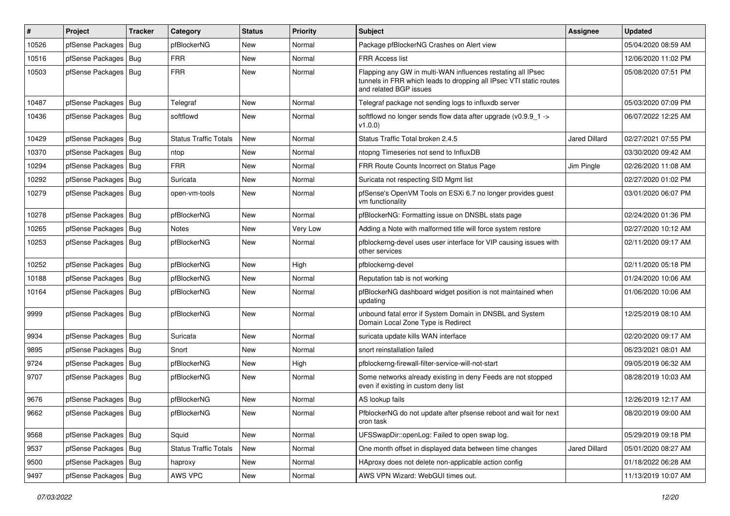| #     | Project                | <b>Tracker</b> | Category                     | <b>Status</b> | <b>Priority</b> | <b>Subject</b>                                                                                                                                              | <b>Assignee</b>      | <b>Updated</b>      |
|-------|------------------------|----------------|------------------------------|---------------|-----------------|-------------------------------------------------------------------------------------------------------------------------------------------------------------|----------------------|---------------------|
| 10526 | pfSense Packages       | Bug            | pfBlockerNG                  | New           | Normal          | Package pfBlockerNG Crashes on Alert view                                                                                                                   |                      | 05/04/2020 08:59 AM |
| 10516 | pfSense Packages       | Bug            | <b>FRR</b>                   | New           | Normal          | FRR Access list                                                                                                                                             |                      | 12/06/2020 11:02 PM |
| 10503 | pfSense Packages       | Bug            | <b>FRR</b>                   | New           | Normal          | Flapping any GW in multi-WAN influences restating all IPsec<br>tunnels in FRR which leads to dropping all IPsec VTI static routes<br>and related BGP issues |                      | 05/08/2020 07:51 PM |
| 10487 | pfSense Packages       | Bug            | Telegraf                     | <b>New</b>    | Normal          | Telegraf package not sending logs to influxdb server                                                                                                        |                      | 05/03/2020 07:09 PM |
| 10436 | pfSense Packages   Bug |                | softflowd                    | New           | Normal          | softflowd no longer sends flow data after upgrade ( $v0.9.9$ 1 -><br>V1.0.0)                                                                                |                      | 06/07/2022 12:25 AM |
| 10429 | pfSense Packages   Bug |                | <b>Status Traffic Totals</b> | <b>New</b>    | Normal          | Status Traffic Total broken 2.4.5                                                                                                                           | <b>Jared Dillard</b> | 02/27/2021 07:55 PM |
| 10370 | pfSense Packages   Bug |                | ntop                         | <b>New</b>    | Normal          | ntopng Timeseries not send to InfluxDB                                                                                                                      |                      | 03/30/2020 09:42 AM |
| 10294 | pfSense Packages   Bug |                | <b>FRR</b>                   | New           | Normal          | FRR Route Counts Incorrect on Status Page                                                                                                                   | Jim Pingle           | 02/26/2020 11:08 AM |
| 10292 | pfSense Packages       | Bug            | Suricata                     | New           | Normal          | Suricata not respecting SID Mgmt list                                                                                                                       |                      | 02/27/2020 01:02 PM |
| 10279 | pfSense Packages   Bug |                | open-vm-tools                | New           | Normal          | pfSense's OpenVM Tools on ESXi 6.7 no longer provides guest<br>vm functionality                                                                             |                      | 03/01/2020 06:07 PM |
| 10278 | pfSense Packages   Bug |                | pfBlockerNG                  | New           | Normal          | pfBlockerNG: Formatting issue on DNSBL stats page                                                                                                           |                      | 02/24/2020 01:36 PM |
| 10265 | pfSense Packages       | <b>Bug</b>     | <b>Notes</b>                 | New           | Very Low        | Adding a Note with malformed title will force system restore                                                                                                |                      | 02/27/2020 10:12 AM |
| 10253 | pfSense Packages       | Bug            | pfBlockerNG                  | New           | Normal          | pfblockerng-devel uses user interface for VIP causing issues with<br>other services                                                                         |                      | 02/11/2020 09:17 AM |
| 10252 | pfSense Packages       | Bug            | pfBlockerNG                  | New           | High            | pfblockerng-devel                                                                                                                                           |                      | 02/11/2020 05:18 PM |
| 10188 | pfSense Packages   Bug |                | pfBlockerNG                  | New           | Normal          | Reputation tab is not working                                                                                                                               |                      | 01/24/2020 10:06 AM |
| 10164 | pfSense Packages   Bug |                | pfBlockerNG                  | New           | Normal          | pfBlockerNG dashboard widget position is not maintained when<br>updating                                                                                    |                      | 01/06/2020 10:06 AM |
| 9999  | pfSense Packages   Bug |                | pfBlockerNG                  | New           | Normal          | unbound fatal error if System Domain in DNSBL and System<br>Domain Local Zone Type is Redirect                                                              |                      | 12/25/2019 08:10 AM |
| 9934  | pfSense Packages       | Bug            | Suricata                     | New           | Normal          | suricata update kills WAN interface                                                                                                                         |                      | 02/20/2020 09:17 AM |
| 9895  | pfSense Packages   Bug |                | Snort                        | New           | Normal          | snort reinstallation failed                                                                                                                                 |                      | 06/23/2021 08:01 AM |
| 9724  | pfSense Packages       | Bug            | pfBlockerNG                  | New           | High            | pfblockerng-firewall-filter-service-will-not-start                                                                                                          |                      | 09/05/2019 06:32 AM |
| 9707  | pfSense Packages       | <b>Bug</b>     | pfBlockerNG                  | New           | Normal          | Some networks already existing in deny Feeds are not stopped<br>even if existing in custom deny list                                                        |                      | 08/28/2019 10:03 AM |
| 9676  | pfSense Packages   Bug |                | pfBlockerNG                  | New           | Normal          | AS lookup fails                                                                                                                                             |                      | 12/26/2019 12:17 AM |
| 9662  | pfSense Packages   Bug |                | pfBlockerNG                  | New           | Normal          | PfblockerNG do not update after pfsense reboot and wait for next<br>cron task                                                                               |                      | 08/20/2019 09:00 AM |
| 9568  | pfSense Packages   Bug |                | Squid                        | New           | Normal          | UFSSwapDir::openLog: Failed to open swap log.                                                                                                               |                      | 05/29/2019 09:18 PM |
| 9537  | pfSense Packages   Bug |                | <b>Status Traffic Totals</b> | New           | Normal          | One month offset in displayed data between time changes                                                                                                     | <b>Jared Dillard</b> | 05/01/2020 08:27 AM |
| 9500  | pfSense Packages   Bug |                | haproxy                      | New           | Normal          | HAproxy does not delete non-applicable action config                                                                                                        |                      | 01/18/2022 06:28 AM |
| 9497  | pfSense Packages   Bug |                | AWS VPC                      | New           | Normal          | AWS VPN Wizard: WebGUI times out.                                                                                                                           |                      | 11/13/2019 10:07 AM |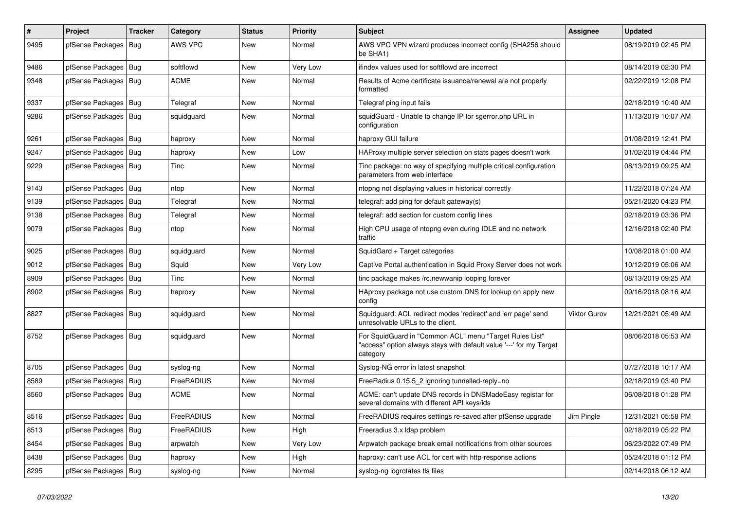| $\pmb{\#}$ | Project                | <b>Tracker</b> | Category    | <b>Status</b> | <b>Priority</b> | <b>Subject</b>                                                                                                                             | <b>Assignee</b>     | <b>Updated</b>      |
|------------|------------------------|----------------|-------------|---------------|-----------------|--------------------------------------------------------------------------------------------------------------------------------------------|---------------------|---------------------|
| 9495       | pfSense Packages       | Bug            | AWS VPC     | <b>New</b>    | Normal          | AWS VPC VPN wizard produces incorrect config (SHA256 should<br>be SHA1)                                                                    |                     | 08/19/2019 02:45 PM |
| 9486       | pfSense Packages   Bug |                | softflowd   | New           | Very Low        | ifindex values used for softflowd are incorrect                                                                                            |                     | 08/14/2019 02:30 PM |
| 9348       | pfSense Packages   Bug |                | <b>ACME</b> | New           | Normal          | Results of Acme certificate issuance/renewal are not properly<br>formatted                                                                 |                     | 02/22/2019 12:08 PM |
| 9337       | pfSense Packages   Bug |                | Telegraf    | New           | Normal          | Telegraf ping input fails                                                                                                                  |                     | 02/18/2019 10:40 AM |
| 9286       | pfSense Packages   Bug |                | squidguard  | New           | Normal          | squidGuard - Unable to change IP for sgerror.php URL in<br>configuration                                                                   |                     | 11/13/2019 10:07 AM |
| 9261       | pfSense Packages       | Bug            | haproxy     | New           | Normal          | haproxy GUI failure                                                                                                                        |                     | 01/08/2019 12:41 PM |
| 9247       | pfSense Packages   Bug |                | haproxy     | New           | Low             | HAProxy multiple server selection on stats pages doesn't work                                                                              |                     | 01/02/2019 04:44 PM |
| 9229       | pfSense Packages   Bug |                | Tinc        | New           | Normal          | Tinc package: no way of specifying multiple critical configuration<br>parameters from web interface                                        |                     | 08/13/2019 09:25 AM |
| 9143       | pfSense Packages       | Bug            | ntop        | New           | Normal          | ntopng not displaying values in historical correctly                                                                                       |                     | 11/22/2018 07:24 AM |
| 9139       | pfSense Packages   Bug |                | Telegraf    | New           | Normal          | telegraf: add ping for default gateway(s)                                                                                                  |                     | 05/21/2020 04:23 PM |
| 9138       | pfSense Packages   Bug |                | Telegraf    | New           | Normal          | telegraf: add section for custom config lines                                                                                              |                     | 02/18/2019 03:36 PM |
| 9079       | pfSense Packages       | Bug            | ntop        | New           | Normal          | High CPU usage of ntopng even during IDLE and no network<br>traffic                                                                        |                     | 12/16/2018 02:40 PM |
| 9025       | pfSense Packages   Bug |                | squidguard  | New           | Normal          | SquidGard + Target categories                                                                                                              |                     | 10/08/2018 01:00 AM |
| 9012       | pfSense Packages       | Bug            | Squid       | New           | Very Low        | Captive Portal authentication in Squid Proxy Server does not work                                                                          |                     | 10/12/2019 05:06 AM |
| 8909       | pfSense Packages   Bug |                | Tinc        | New           | Normal          | tinc package makes /rc.newwanip looping forever                                                                                            |                     | 08/13/2019 09:25 AM |
| 8902       | pfSense Packages   Bug |                | haproxy     | New           | Normal          | HAproxy package not use custom DNS for lookup on apply new<br>config                                                                       |                     | 09/16/2018 08:16 AM |
| 8827       | pfSense Packages   Bug |                | squidguard  | New           | Normal          | Squidguard: ACL redirect modes 'redirect' and 'err page' send<br>unresolvable URLs to the client.                                          | <b>Viktor Gurov</b> | 12/21/2021 05:49 AM |
| 8752       | pfSense Packages   Bug |                | squidguard  | New           | Normal          | For SquidGuard in "Common ACL" menu "Target Rules List"<br>"access" option always stays with default value '---' for my Target<br>category |                     | 08/06/2018 05:53 AM |
| 8705       | pfSense Packages       | Bug            | syslog-ng   | New           | Normal          | Syslog-NG error in latest snapshot                                                                                                         |                     | 07/27/2018 10:17 AM |
| 8589       | pfSense Packages       | Bug            | FreeRADIUS  | New           | Normal          | FreeRadius 0.15.5 2 ignoring tunnelled-reply=no                                                                                            |                     | 02/18/2019 03:40 PM |
| 8560       | pfSense Packages   Bug |                | <b>ACME</b> | New           | Normal          | ACME: can't update DNS records in DNSMadeEasy registar for<br>several domains with different API keys/ids                                  |                     | 06/08/2018 01:28 PM |
| 8516       | pfSense Packages   Bug |                | FreeRADIUS  | New           | Normal          | FreeRADIUS requires settings re-saved after pfSense upgrade                                                                                | Jim Pingle          | 12/31/2021 05:58 PM |
| 8513       | pfSense Packages   Bug |                | FreeRADIUS  | New           | High            | Freeradius 3.x Idap problem                                                                                                                |                     | 02/18/2019 05:22 PM |
| 8454       | pfSense Packages   Bug |                | arpwatch    | New           | Very Low        | Arpwatch package break email notifications from other sources                                                                              |                     | 06/23/2022 07:49 PM |
| 8438       | pfSense Packages   Bug |                | haproxy     | New           | High            | haproxy: can't use ACL for cert with http-response actions                                                                                 |                     | 05/24/2018 01:12 PM |
| 8295       | pfSense Packages   Bug |                | syslog-ng   | New           | Normal          | syslog-ng logrotates tls files                                                                                                             |                     | 02/14/2018 06:12 AM |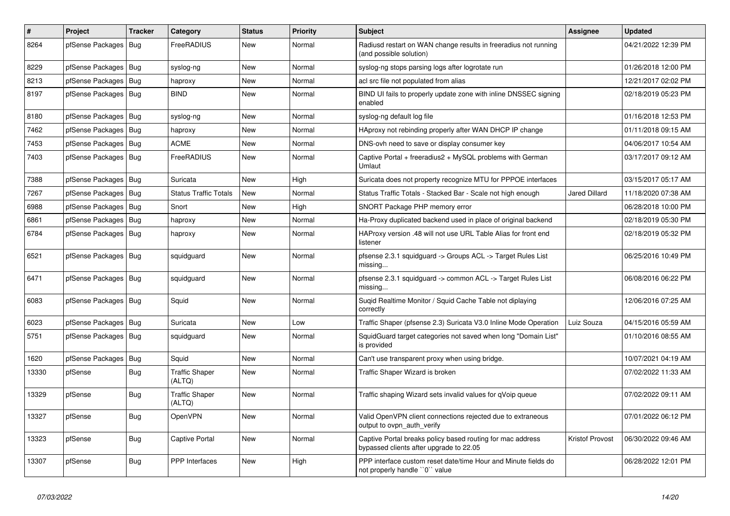| $\pmb{\#}$ | Project                | <b>Tracker</b> | Category                        | <b>Status</b> | <b>Priority</b> | <b>Subject</b>                                                                                        | <b>Assignee</b>        | <b>Updated</b>      |
|------------|------------------------|----------------|---------------------------------|---------------|-----------------|-------------------------------------------------------------------------------------------------------|------------------------|---------------------|
| 8264       | pfSense Packages       | Bug            | <b>FreeRADIUS</b>               | <b>New</b>    | Normal          | Radiusd restart on WAN change results in freeradius not running<br>(and possible solution)            |                        | 04/21/2022 12:39 PM |
| 8229       | pfSense Packages       | Bug            | syslog-ng                       | New           | Normal          | syslog-ng stops parsing logs after logrotate run                                                      |                        | 01/26/2018 12:00 PM |
| 8213       | pfSense Packages       | <b>Bug</b>     | haproxy                         | <b>New</b>    | Normal          | acl src file not populated from alias                                                                 |                        | 12/21/2017 02:02 PM |
| 8197       | pfSense Packages       | Bug            | <b>BIND</b>                     | <b>New</b>    | Normal          | BIND UI fails to properly update zone with inline DNSSEC signing<br>enabled                           |                        | 02/18/2019 05:23 PM |
| 8180       | pfSense Packages       | Bug            | syslog-ng                       | New           | Normal          | syslog-ng default log file                                                                            |                        | 01/16/2018 12:53 PM |
| 7462       | pfSense Packages       | Bug            | haproxy                         | New           | Normal          | HAproxy not rebinding properly after WAN DHCP IP change                                               |                        | 01/11/2018 09:15 AM |
| 7453       | pfSense Packages       | Bug            | <b>ACME</b>                     | <b>New</b>    | Normal          | DNS-ovh need to save or display consumer key                                                          |                        | 04/06/2017 10:54 AM |
| 7403       | pfSense Packages       | Bug            | FreeRADIUS                      | <b>New</b>    | Normal          | Captive Portal + freeradius2 + MySQL problems with German<br>Umlaut                                   |                        | 03/17/2017 09:12 AM |
| 7388       | pfSense Packages       | Bug            | Suricata                        | <b>New</b>    | High            | Suricata does not property recognize MTU for PPPOE interfaces                                         |                        | 03/15/2017 05:17 AM |
| 7267       | pfSense Packages       | Bug            | <b>Status Traffic Totals</b>    | <b>New</b>    | Normal          | Status Traffic Totals - Stacked Bar - Scale not high enough                                           | <b>Jared Dillard</b>   | 11/18/2020 07:38 AM |
| 6988       | pfSense Packages       | Bug            | Snort                           | New           | High            | SNORT Package PHP memory error                                                                        |                        | 06/28/2018 10:00 PM |
| 6861       | pfSense Packages       | <b>Bug</b>     | haproxy                         | <b>New</b>    | Normal          | Ha-Proxy duplicated backend used in place of original backend                                         |                        | 02/18/2019 05:30 PM |
| 6784       | pfSense Packages   Bug |                | haproxy                         | <b>New</b>    | Normal          | HAProxy version .48 will not use URL Table Alias for front end<br>listener                            |                        | 02/18/2019 05:32 PM |
| 6521       | pfSense Packages       | <b>Bug</b>     | squidguard                      | <b>New</b>    | Normal          | pfsense 2.3.1 squidguard -> Groups ACL -> Target Rules List<br>missing                                |                        | 06/25/2016 10:49 PM |
| 6471       | pfSense Packages       | Bug            | squidguard                      | <b>New</b>    | Normal          | pfsense 2.3.1 squidguard -> common ACL -> Target Rules List<br>missing                                |                        | 06/08/2016 06:22 PM |
| 6083       | pfSense Packages   Bug |                | Squid                           | <b>New</b>    | Normal          | Suqid Realtime Monitor / Squid Cache Table not diplaying<br>correctly                                 |                        | 12/06/2016 07:25 AM |
| 6023       | pfSense Packages       | Bug            | Suricata                        | <b>New</b>    | Low             | Traffic Shaper (pfsense 2.3) Suricata V3.0 Inline Mode Operation                                      | Luiz Souza             | 04/15/2016 05:59 AM |
| 5751       | pfSense Packages       | Bug            | squidguard                      | <b>New</b>    | Normal          | SquidGuard target categories not saved when long "Domain List"<br>is provided                         |                        | 01/10/2016 08:55 AM |
| 1620       | pfSense Packages       | <b>Bug</b>     | Squid                           | <b>New</b>    | Normal          | Can't use transparent proxy when using bridge.                                                        |                        | 10/07/2021 04:19 AM |
| 13330      | pfSense                | Bug            | <b>Traffic Shaper</b><br>(ALTQ) | New           | Normal          | Traffic Shaper Wizard is broken                                                                       |                        | 07/02/2022 11:33 AM |
| 13329      | pfSense                | <b>Bug</b>     | <b>Traffic Shaper</b><br>(ALTQ) | New           | Normal          | Traffic shaping Wizard sets invalid values for qVoip queue                                            |                        | 07/02/2022 09:11 AM |
| 13327      | pfSense                | <b>Bug</b>     | OpenVPN                         | <b>New</b>    | Normal          | Valid OpenVPN client connections rejected due to extraneous<br>output to ovpn auth verify             |                        | 07/01/2022 06:12 PM |
| 13323      | pfSense                | Bug            | Captive Portal                  | <b>New</b>    | Normal          | Captive Portal breaks policy based routing for mac address<br>bypassed clients after upgrade to 22.05 | <b>Kristof Provost</b> | 06/30/2022 09:46 AM |
| 13307      | pfSense                | <b>Bug</b>     | <b>PPP</b> Interfaces           | <b>New</b>    | High            | PPP interface custom reset date/time Hour and Minute fields do<br>not properly handle "0" value       |                        | 06/28/2022 12:01 PM |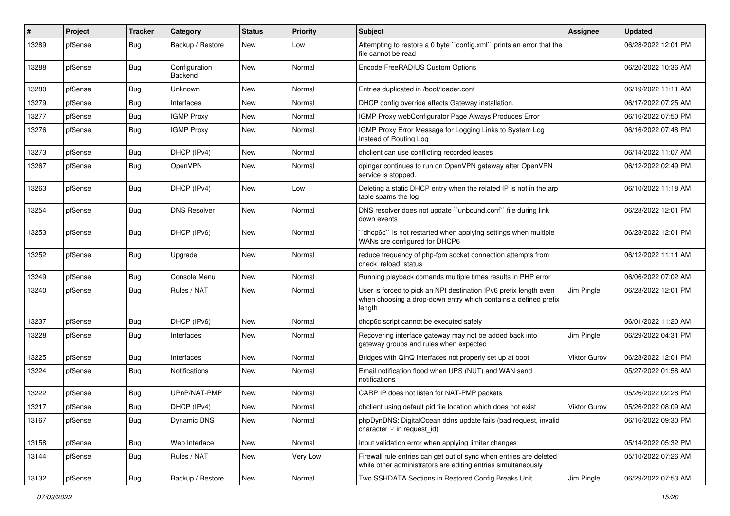| #     | Project | Tracker    | Category                 | <b>Status</b> | <b>Priority</b> | Subject                                                                                                                                        | <b>Assignee</b>     | <b>Updated</b>      |
|-------|---------|------------|--------------------------|---------------|-----------------|------------------------------------------------------------------------------------------------------------------------------------------------|---------------------|---------------------|
| 13289 | pfSense | <b>Bug</b> | Backup / Restore         | New           | Low             | Attempting to restore a 0 byte "config.xml" prints an error that the<br>file cannot be read                                                    |                     | 06/28/2022 12:01 PM |
| 13288 | pfSense | <b>Bug</b> | Configuration<br>Backend | New           | Normal          | Encode FreeRADIUS Custom Options                                                                                                               |                     | 06/20/2022 10:36 AM |
| 13280 | pfSense | Bug        | Unknown                  | <b>New</b>    | Normal          | Entries duplicated in /boot/loader.conf                                                                                                        |                     | 06/19/2022 11:11 AM |
| 13279 | pfSense | <b>Bug</b> | Interfaces               | New           | Normal          | DHCP config override affects Gateway installation.                                                                                             |                     | 06/17/2022 07:25 AM |
| 13277 | pfSense | Bug        | <b>IGMP Proxy</b>        | New           | Normal          | IGMP Proxy webConfigurator Page Always Produces Error                                                                                          |                     | 06/16/2022 07:50 PM |
| 13276 | pfSense | Bug        | <b>IGMP Proxy</b>        | New           | Normal          | IGMP Proxy Error Message for Logging Links to System Log<br>Instead of Routing Log                                                             |                     | 06/16/2022 07:48 PM |
| 13273 | pfSense | Bug        | DHCP (IPv4)              | <b>New</b>    | Normal          | dhclient can use conflicting recorded leases                                                                                                   |                     | 06/14/2022 11:07 AM |
| 13267 | pfSense | <b>Bug</b> | OpenVPN                  | New           | Normal          | dpinger continues to run on OpenVPN gateway after OpenVPN<br>service is stopped.                                                               |                     | 06/12/2022 02:49 PM |
| 13263 | pfSense | Bug        | DHCP (IPv4)              | <b>New</b>    | Low             | Deleting a static DHCP entry when the related IP is not in the arp<br>table spams the log                                                      |                     | 06/10/2022 11:18 AM |
| 13254 | pfSense | <b>Bug</b> | <b>DNS Resolver</b>      | New           | Normal          | DNS resolver does not update "unbound.conf" file during link<br>down events                                                                    |                     | 06/28/2022 12:01 PM |
| 13253 | pfSense | Bug        | DHCP (IPv6)              | New           | Normal          | 'dhcp6c' is not restarted when applying settings when multiple<br>WANs are configured for DHCP6                                                |                     | 06/28/2022 12:01 PM |
| 13252 | pfSense | Bug        | Upgrade                  | New           | Normal          | reduce frequency of php-fpm socket connection attempts from<br>check reload status                                                             |                     | 06/12/2022 11:11 AM |
| 13249 | pfSense | Bug        | Console Menu             | <b>New</b>    | Normal          | Running playback comands multiple times results in PHP error                                                                                   |                     | 06/06/2022 07:02 AM |
| 13240 | pfSense | Bug        | Rules / NAT              | New           | Normal          | User is forced to pick an NPt destination IPv6 prefix length even<br>when choosing a drop-down entry which contains a defined prefix<br>length | Jim Pingle          | 06/28/2022 12:01 PM |
| 13237 | pfSense | Bug        | DHCP (IPv6)              | New           | Normal          | dhcp6c script cannot be executed safely                                                                                                        |                     | 06/01/2022 11:20 AM |
| 13228 | pfSense | <b>Bug</b> | Interfaces               | New           | Normal          | Recovering interface gateway may not be added back into<br>gateway groups and rules when expected                                              | Jim Pingle          | 06/29/2022 04:31 PM |
| 13225 | pfSense | <b>Bug</b> | Interfaces               | New           | Normal          | Bridges with QinQ interfaces not properly set up at boot                                                                                       | <b>Viktor Gurov</b> | 06/28/2022 12:01 PM |
| 13224 | pfSense | <b>Bug</b> | <b>Notifications</b>     | New           | Normal          | Email notification flood when UPS (NUT) and WAN send<br>notifications                                                                          |                     | 05/27/2022 01:58 AM |
| 13222 | pfSense | <b>Bug</b> | UPnP/NAT-PMP             | <b>New</b>    | Normal          | CARP IP does not listen for NAT-PMP packets                                                                                                    |                     | 05/26/2022 02:28 PM |
| 13217 | pfSense | Bug        | DHCP (IPv4)              | New           | Normal          | dhclient using default pid file location which does not exist                                                                                  | <b>Viktor Gurov</b> | 05/26/2022 08:09 AM |
| 13167 | pfSense | Bug        | Dynamic DNS              | New           | Normal          | phpDynDNS: DigitalOcean ddns update fails (bad request, invalid<br>character '-' in request_id)                                                |                     | 06/16/2022 09:30 PM |
| 13158 | pfSense | <b>Bug</b> | Web Interface            | New           | Normal          | Input validation error when applying limiter changes                                                                                           |                     | 05/14/2022 05:32 PM |
| 13144 | pfSense | <b>Bug</b> | Rules / NAT              | New           | Very Low        | Firewall rule entries can get out of sync when entries are deleted<br>while other administrators are editing entries simultaneously            |                     | 05/10/2022 07:26 AM |
| 13132 | pfSense | <b>Bug</b> | Backup / Restore         | New           | Normal          | Two SSHDATA Sections in Restored Config Breaks Unit                                                                                            | Jim Pingle          | 06/29/2022 07:53 AM |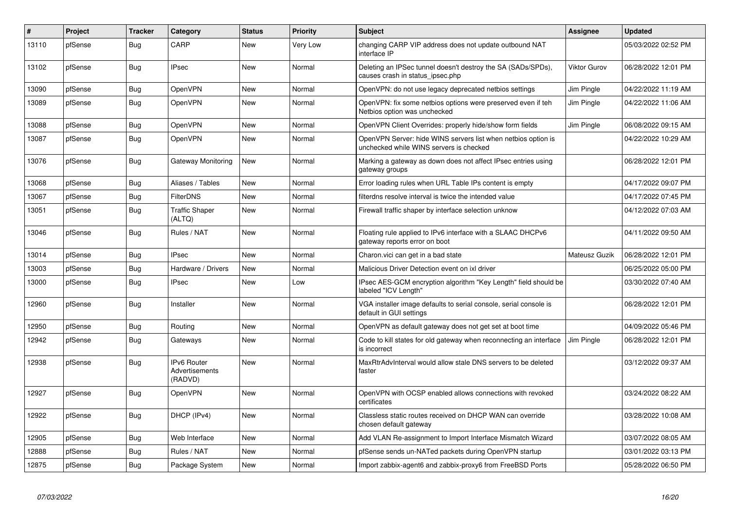| $\vert$ # | Project | Tracker    | Category                                        | <b>Status</b> | Priority | <b>Subject</b>                                                                                           | <b>Assignee</b>     | <b>Updated</b>      |
|-----------|---------|------------|-------------------------------------------------|---------------|----------|----------------------------------------------------------------------------------------------------------|---------------------|---------------------|
| 13110     | pfSense | Bug        | CARP                                            | <b>New</b>    | Very Low | changing CARP VIP address does not update outbound NAT<br>interface IP                                   |                     | 05/03/2022 02:52 PM |
| 13102     | pfSense | <b>Bug</b> | <b>IPsec</b>                                    | New           | Normal   | Deleting an IPSec tunnel doesn't destroy the SA (SADs/SPDs),<br>causes crash in status ipsec.php         | <b>Viktor Gurov</b> | 06/28/2022 12:01 PM |
| 13090     | pfSense | <b>Bug</b> | OpenVPN                                         | <b>New</b>    | Normal   | OpenVPN: do not use legacy deprecated netbios settings                                                   | Jim Pingle          | 04/22/2022 11:19 AM |
| 13089     | pfSense | <b>Bug</b> | <b>OpenVPN</b>                                  | New           | Normal   | OpenVPN: fix some netbios options were preserved even if teh<br>Netbios option was unchecked             | Jim Pingle          | 04/22/2022 11:06 AM |
| 13088     | pfSense | Bug        | OpenVPN                                         | New           | Normal   | OpenVPN Client Overrides: properly hide/show form fields                                                 | Jim Pingle          | 06/08/2022 09:15 AM |
| 13087     | pfSense | <b>Bug</b> | OpenVPN                                         | New           | Normal   | OpenVPN Server: hide WINS servers list when netbios option is<br>unchecked while WINS servers is checked |                     | 04/22/2022 10:29 AM |
| 13076     | pfSense | <b>Bug</b> | Gateway Monitoring                              | New           | Normal   | Marking a gateway as down does not affect IPsec entries using<br>gateway groups                          |                     | 06/28/2022 12:01 PM |
| 13068     | pfSense | <b>Bug</b> | Aliases / Tables                                | <b>New</b>    | Normal   | Error loading rules when URL Table IPs content is empty                                                  |                     | 04/17/2022 09:07 PM |
| 13067     | pfSense | Bug        | <b>FilterDNS</b>                                | <b>New</b>    | Normal   | filterdns resolve interval is twice the intended value                                                   |                     | 04/17/2022 07:45 PM |
| 13051     | pfSense | Bug        | <b>Traffic Shaper</b><br>(ALTQ)                 | New           | Normal   | Firewall traffic shaper by interface selection unknow                                                    |                     | 04/12/2022 07:03 AM |
| 13046     | pfSense | Bug        | Rules / NAT                                     | <b>New</b>    | Normal   | Floating rule applied to IPv6 interface with a SLAAC DHCPv6<br>gateway reports error on boot             |                     | 04/11/2022 09:50 AM |
| 13014     | pfSense | <b>Bug</b> | <b>IPsec</b>                                    | <b>New</b>    | Normal   | Charon.vici can get in a bad state                                                                       | Mateusz Guzik       | 06/28/2022 12:01 PM |
| 13003     | pfSense | <b>Bug</b> | Hardware / Drivers                              | <b>New</b>    | Normal   | Malicious Driver Detection event on ixl driver                                                           |                     | 06/25/2022 05:00 PM |
| 13000     | pfSense | Bug        | <b>IPsec</b>                                    | New           | Low      | IPsec AES-GCM encryption algorithm "Key Length" field should be<br>labeled "ICV Length"                  |                     | 03/30/2022 07:40 AM |
| 12960     | pfSense | Bug        | Installer                                       | <b>New</b>    | Normal   | VGA installer image defaults to serial console, serial console is<br>default in GUI settings             |                     | 06/28/2022 12:01 PM |
| 12950     | pfSense | Bug        | Routing                                         | <b>New</b>    | Normal   | OpenVPN as default gateway does not get set at boot time                                                 |                     | 04/09/2022 05:46 PM |
| 12942     | pfSense | <b>Bug</b> | Gateways                                        | <b>New</b>    | Normal   | Code to kill states for old gateway when reconnecting an interface<br>is incorrect                       | Jim Pingle          | 06/28/2022 12:01 PM |
| 12938     | pfSense | <b>Bug</b> | IPv6 Router<br><b>Advertisements</b><br>(RADVD) | New           | Normal   | MaxRtrAdvInterval would allow stale DNS servers to be deleted<br>faster                                  |                     | 03/12/2022 09:37 AM |
| 12927     | pfSense | Bug        | <b>OpenVPN</b>                                  | New           | Normal   | OpenVPN with OCSP enabled allows connections with revoked<br>certificates                                |                     | 03/24/2022 08:22 AM |
| 12922     | pfSense | Bug        | DHCP (IPv4)                                     | New           | Normal   | Classless static routes received on DHCP WAN can override<br>chosen default gateway                      |                     | 03/28/2022 10:08 AM |
| 12905     | pfSense | Bug        | Web Interface                                   | New           | Normal   | Add VLAN Re-assignment to Import Interface Mismatch Wizard                                               |                     | 03/07/2022 08:05 AM |
| 12888     | pfSense | <b>Bug</b> | Rules / NAT                                     | New           | Normal   | pfSense sends un-NATed packets during OpenVPN startup                                                    |                     | 03/01/2022 03:13 PM |
| 12875     | pfSense | <b>Bug</b> | Package System                                  | New           | Normal   | Import zabbix-agent6 and zabbix-proxy6 from FreeBSD Ports                                                |                     | 05/28/2022 06:50 PM |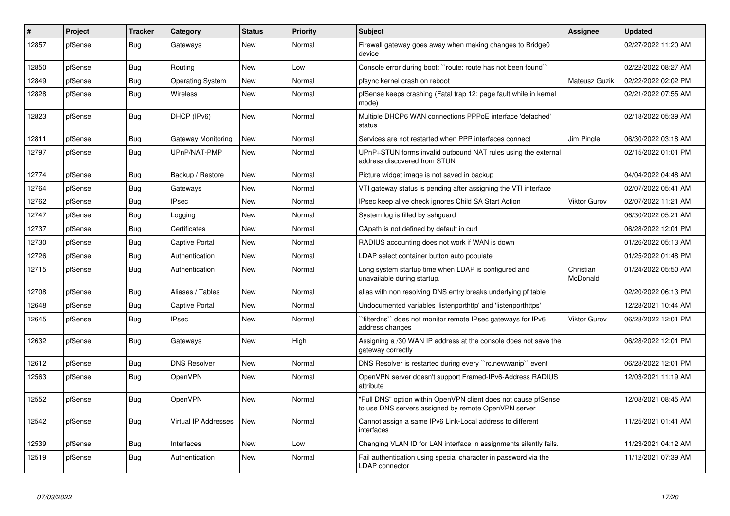| #     | Project | Tracker    | Category                | <b>Status</b> | <b>Priority</b> | <b>Subject</b>                                                                                                         | <b>Assignee</b>       | <b>Updated</b>      |
|-------|---------|------------|-------------------------|---------------|-----------------|------------------------------------------------------------------------------------------------------------------------|-----------------------|---------------------|
| 12857 | pfSense | <b>Bug</b> | Gateways                | <b>New</b>    | Normal          | Firewall gateway goes away when making changes to Bridge0<br>device                                                    |                       | 02/27/2022 11:20 AM |
| 12850 | pfSense | Bug        | Routing                 | <b>New</b>    | Low             | Console error during boot: "route: route has not been found"                                                           |                       | 02/22/2022 08:27 AM |
| 12849 | pfSense | Bug        | <b>Operating System</b> | New           | Normal          | pfsync kernel crash on reboot                                                                                          | Mateusz Guzik         | 02/22/2022 02:02 PM |
| 12828 | pfSense | Bug        | <b>Wireless</b>         | New           | Normal          | pfSense keeps crashing (Fatal trap 12: page fault while in kernel<br>mode)                                             |                       | 02/21/2022 07:55 AM |
| 12823 | pfSense | Bug        | DHCP (IPv6)             | <b>New</b>    | Normal          | Multiple DHCP6 WAN connections PPPoE interface 'defached'<br>status                                                    |                       | 02/18/2022 05:39 AM |
| 12811 | pfSense | Bug        | Gateway Monitoring      | <b>New</b>    | Normal          | Services are not restarted when PPP interfaces connect                                                                 | Jim Pingle            | 06/30/2022 03:18 AM |
| 12797 | pfSense | <b>Bug</b> | UPnP/NAT-PMP            | New           | Normal          | UPnP+STUN forms invalid outbound NAT rules using the external<br>address discovered from STUN                          |                       | 02/15/2022 01:01 PM |
| 12774 | pfSense | Bug        | Backup / Restore        | New           | Normal          | Picture widget image is not saved in backup                                                                            |                       | 04/04/2022 04:48 AM |
| 12764 | pfSense | Bug        | Gateways                | <b>New</b>    | Normal          | VTI gateway status is pending after assigning the VTI interface                                                        |                       | 02/07/2022 05:41 AM |
| 12762 | pfSense | Bug        | <b>IPsec</b>            | New           | Normal          | IPsec keep alive check ignores Child SA Start Action                                                                   | <b>Viktor Gurov</b>   | 02/07/2022 11:21 AM |
| 12747 | pfSense | Bug        | Logging                 | <b>New</b>    | Normal          | System log is filled by sshguard                                                                                       |                       | 06/30/2022 05:21 AM |
| 12737 | pfSense | Bug        | Certificates            | New           | Normal          | CApath is not defined by default in curl                                                                               |                       | 06/28/2022 12:01 PM |
| 12730 | pfSense | Bug        | <b>Captive Portal</b>   | <b>New</b>    | Normal          | RADIUS accounting does not work if WAN is down                                                                         |                       | 01/26/2022 05:13 AM |
| 12726 | pfSense | Bug        | Authentication          | <b>New</b>    | Normal          | LDAP select container button auto populate                                                                             |                       | 01/25/2022 01:48 PM |
| 12715 | pfSense | Bug        | Authentication          | <b>New</b>    | Normal          | Long system startup time when LDAP is configured and<br>unavailable during startup.                                    | Christian<br>McDonald | 01/24/2022 05:50 AM |
| 12708 | pfSense | Bug        | Aliases / Tables        | <b>New</b>    | Normal          | alias with non resolving DNS entry breaks underlying pf table                                                          |                       | 02/20/2022 06:13 PM |
| 12648 | pfSense | Bug        | <b>Captive Portal</b>   | <b>New</b>    | Normal          | Undocumented variables 'listenporthttp' and 'listenporthttps'                                                          |                       | 12/28/2021 10:44 AM |
| 12645 | pfSense | Bug        | <b>IPsec</b>            | <b>New</b>    | Normal          | filterdns" does not monitor remote IPsec gateways for IPv6<br>address changes                                          | <b>Viktor Gurov</b>   | 06/28/2022 12:01 PM |
| 12632 | pfSense | <b>Bug</b> | Gateways                | <b>New</b>    | High            | Assigning a /30 WAN IP address at the console does not save the<br>gateway correctly                                   |                       | 06/28/2022 12:01 PM |
| 12612 | pfSense | Bug        | <b>DNS Resolver</b>     | <b>New</b>    | Normal          | DNS Resolver is restarted during every "rc.newwanip" event                                                             |                       | 06/28/2022 12:01 PM |
| 12563 | pfSense | <b>Bug</b> | <b>OpenVPN</b>          | <b>New</b>    | Normal          | OpenVPN server doesn't support Framed-IPv6-Address RADIUS<br>attribute                                                 |                       | 12/03/2021 11:19 AM |
| 12552 | pfSense | Bug        | <b>OpenVPN</b>          | <b>New</b>    | Normal          | "Pull DNS" option within OpenVPN client does not cause pfSense<br>to use DNS servers assigned by remote OpenVPN server |                       | 12/08/2021 08:45 AM |
| 12542 | pfSense | Bug        | Virtual IP Addresses    | <b>New</b>    | Normal          | Cannot assign a same IPv6 Link-Local address to different<br>interfaces                                                |                       | 11/25/2021 01:41 AM |
| 12539 | pfSense | Bug        | Interfaces              | <b>New</b>    | Low             | Changing VLAN ID for LAN interface in assignments silently fails.                                                      |                       | 11/23/2021 04:12 AM |
| 12519 | pfSense | Bug        | Authentication          | New           | Normal          | Fail authentication using special character in password via the<br>LDAP connector                                      |                       | 11/12/2021 07:39 AM |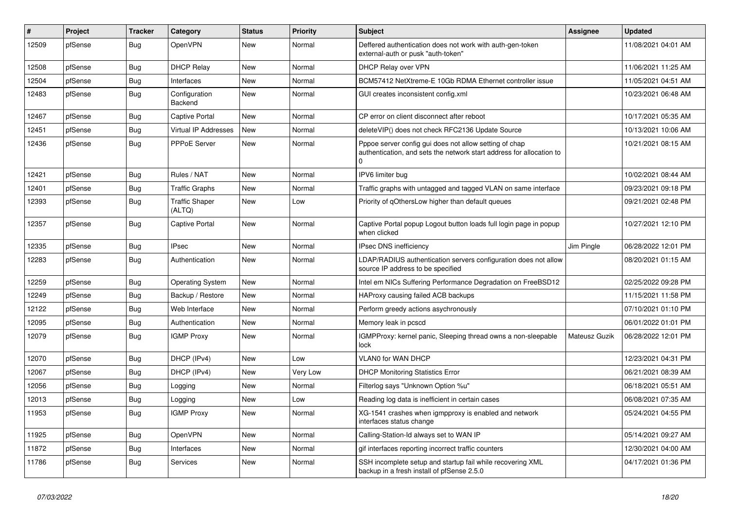| $\vert$ # | <b>Project</b> | <b>Tracker</b> | Category                        | <b>Status</b> | <b>Priority</b> | <b>Subject</b>                                                                                                                 | <b>Assignee</b> | <b>Updated</b>      |
|-----------|----------------|----------------|---------------------------------|---------------|-----------------|--------------------------------------------------------------------------------------------------------------------------------|-----------------|---------------------|
| 12509     | pfSense        | <b>Bug</b>     | OpenVPN                         | New           | Normal          | Deffered authentication does not work with auth-gen-token<br>external-auth or pusk "auth-token"                                |                 | 11/08/2021 04:01 AM |
| 12508     | pfSense        | Bug            | <b>DHCP Relay</b>               | <b>New</b>    | Normal          | <b>DHCP Relay over VPN</b>                                                                                                     |                 | 11/06/2021 11:25 AM |
| 12504     | pfSense        | Bug            | Interfaces                      | New           | Normal          | BCM57412 NetXtreme-E 10Gb RDMA Ethernet controller issue                                                                       |                 | 11/05/2021 04:51 AM |
| 12483     | pfSense        | <b>Bug</b>     | Configuration<br>Backend        | New           | Normal          | GUI creates inconsistent config.xml                                                                                            |                 | 10/23/2021 06:48 AM |
| 12467     | pfSense        | <b>Bug</b>     | <b>Captive Portal</b>           | <b>New</b>    | Normal          | CP error on client disconnect after reboot                                                                                     |                 | 10/17/2021 05:35 AM |
| 12451     | pfSense        | Bug            | <b>Virtual IP Addresses</b>     | <b>New</b>    | Normal          | deleteVIP() does not check RFC2136 Update Source                                                                               |                 | 10/13/2021 10:06 AM |
| 12436     | pfSense        | <b>Bug</b>     | <b>PPPoE Server</b>             | New           | Normal          | Pppoe server config gui does not allow setting of chap<br>authentication, and sets the network start address for allocation to |                 | 10/21/2021 08:15 AM |
| 12421     | pfSense        | Bug            | Rules / NAT                     | <b>New</b>    | Normal          | IPV6 limiter bug                                                                                                               |                 | 10/02/2021 08:44 AM |
| 12401     | pfSense        | Bug            | <b>Traffic Graphs</b>           | New           | Normal          | Traffic graphs with untagged and tagged VLAN on same interface                                                                 |                 | 09/23/2021 09:18 PM |
| 12393     | pfSense        | Bug            | <b>Traffic Shaper</b><br>(ALTQ) | <b>New</b>    | Low             | Priority of qOthersLow higher than default queues                                                                              |                 | 09/21/2021 02:48 PM |
| 12357     | pfSense        | Bug            | Captive Portal                  | <b>New</b>    | Normal          | Captive Portal popup Logout button loads full login page in popup<br>when clicked                                              |                 | 10/27/2021 12:10 PM |
| 12335     | pfSense        | <b>Bug</b>     | <b>IPsec</b>                    | <b>New</b>    | Normal          | <b>IPsec DNS inefficiency</b>                                                                                                  | Jim Pingle      | 06/28/2022 12:01 PM |
| 12283     | pfSense        | <b>Bug</b>     | Authentication                  | New           | Normal          | LDAP/RADIUS authentication servers configuration does not allow<br>source IP address to be specified                           |                 | 08/20/2021 01:15 AM |
| 12259     | pfSense        | <b>Bug</b>     | <b>Operating System</b>         | <b>New</b>    | Normal          | Intel em NICs Suffering Performance Degradation on FreeBSD12                                                                   |                 | 02/25/2022 09:28 PM |
| 12249     | pfSense        | <b>Bug</b>     | Backup / Restore                | <b>New</b>    | Normal          | HAProxy causing failed ACB backups                                                                                             |                 | 11/15/2021 11:58 PM |
| 12122     | pfSense        | Bug            | Web Interface                   | New           | Normal          | Perform greedy actions asychronously                                                                                           |                 | 07/10/2021 01:10 PM |
| 12095     | pfSense        | Bug            | Authentication                  | New           | Normal          | Memory leak in pcscd                                                                                                           |                 | 06/01/2022 01:01 PM |
| 12079     | pfSense        | <b>Bug</b>     | <b>IGMP Proxy</b>               | New           | Normal          | IGMPProxy: kernel panic, Sleeping thread owns a non-sleepable<br>lock                                                          | Mateusz Guzik   | 06/28/2022 12:01 PM |
| 12070     | pfSense        | <b>Bug</b>     | DHCP (IPv4)                     | <b>New</b>    | Low             | VLAN0 for WAN DHCP                                                                                                             |                 | 12/23/2021 04:31 PM |
| 12067     | pfSense        | Bug            | DHCP (IPv4)                     | New           | Very Low        | <b>DHCP Monitoring Statistics Error</b>                                                                                        |                 | 06/21/2021 08:39 AM |
| 12056     | pfSense        | Bug            | Logging                         | New           | Normal          | Filterlog says "Unknown Option %u"                                                                                             |                 | 06/18/2021 05:51 AM |
| 12013     | pfSense        | Bug            | Logging                         | New           | Low             | Reading log data is inefficient in certain cases                                                                               |                 | 06/08/2021 07:35 AM |
| 11953     | pfSense        | Bug            | <b>IGMP Proxy</b>               | <b>New</b>    | Normal          | XG-1541 crashes when igmpproxy is enabled and network<br>interfaces status change                                              |                 | 05/24/2021 04:55 PM |
| 11925     | pfSense        | <b>Bug</b>     | <b>OpenVPN</b>                  | New           | Normal          | Calling-Station-Id always set to WAN IP                                                                                        |                 | 05/14/2021 09:27 AM |
| 11872     | pfSense        | <b>Bug</b>     | Interfaces                      | New           | Normal          | gif interfaces reporting incorrect traffic counters                                                                            |                 | 12/30/2021 04:00 AM |
| 11786     | pfSense        | <b>Bug</b>     | Services                        | New           | Normal          | SSH incomplete setup and startup fail while recovering XML<br>backup in a fresh install of pfSense 2.5.0                       |                 | 04/17/2021 01:36 PM |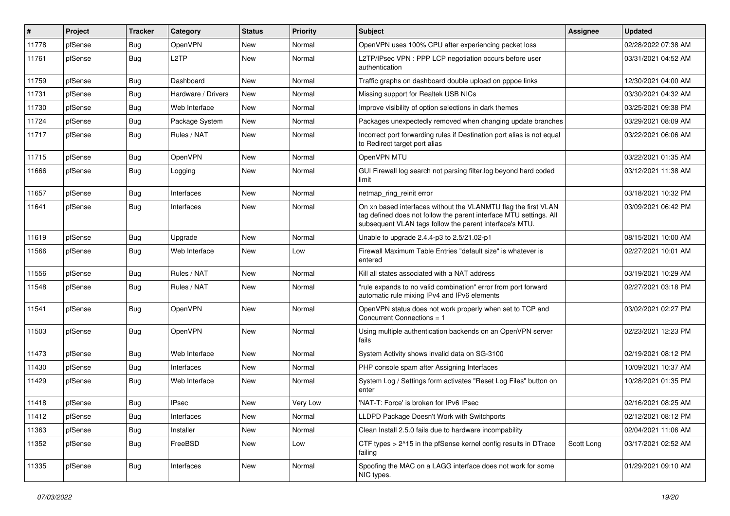| #     | Project | <b>Tracker</b> | Category           | <b>Status</b> | <b>Priority</b> | <b>Subject</b>                                                                                                                                                                                  | <b>Assignee</b> | <b>Updated</b>      |
|-------|---------|----------------|--------------------|---------------|-----------------|-------------------------------------------------------------------------------------------------------------------------------------------------------------------------------------------------|-----------------|---------------------|
| 11778 | pfSense | Bug            | OpenVPN            | New           | Normal          | OpenVPN uses 100% CPU after experiencing packet loss                                                                                                                                            |                 | 02/28/2022 07:38 AM |
| 11761 | pfSense | Bug            | L <sub>2</sub> TP  | New           | Normal          | L2TP/IPsec VPN : PPP LCP negotiation occurs before user<br>authentication                                                                                                                       |                 | 03/31/2021 04:52 AM |
| 11759 | pfSense | Bug            | Dashboard          | <b>New</b>    | Normal          | Traffic graphs on dashboard double upload on pppoe links                                                                                                                                        |                 | 12/30/2021 04:00 AM |
| 11731 | pfSense | <b>Bug</b>     | Hardware / Drivers | New           | Normal          | Missing support for Realtek USB NICs                                                                                                                                                            |                 | 03/30/2021 04:32 AM |
| 11730 | pfSense | Bug            | Web Interface      | New           | Normal          | Improve visibility of option selections in dark themes                                                                                                                                          |                 | 03/25/2021 09:38 PM |
| 11724 | pfSense | Bug            | Package System     | New           | Normal          | Packages unexpectedly removed when changing update branches                                                                                                                                     |                 | 03/29/2021 08:09 AM |
| 11717 | pfSense | Bug            | Rules / NAT        | New           | Normal          | Incorrect port forwarding rules if Destination port alias is not equal<br>to Redirect target port alias                                                                                         |                 | 03/22/2021 06:06 AM |
| 11715 | pfSense | Bug            | OpenVPN            | New           | Normal          | OpenVPN MTU                                                                                                                                                                                     |                 | 03/22/2021 01:35 AM |
| 11666 | pfSense | Bug            | Logging            | New           | Normal          | GUI Firewall log search not parsing filter log beyond hard coded<br>limit                                                                                                                       |                 | 03/12/2021 11:38 AM |
| 11657 | pfSense | <b>Bug</b>     | Interfaces         | <b>New</b>    | Normal          | netmap_ring_reinit error                                                                                                                                                                        |                 | 03/18/2021 10:32 PM |
| 11641 | pfSense | Bug            | Interfaces         | New           | Normal          | On xn based interfaces without the VLANMTU flag the first VLAN<br>tag defined does not follow the parent interface MTU settings. All<br>subsequent VLAN tags follow the parent interface's MTU. |                 | 03/09/2021 06:42 PM |
| 11619 | pfSense | Bug            | Upgrade            | <b>New</b>    | Normal          | Unable to upgrade 2.4.4-p3 to 2.5/21.02-p1                                                                                                                                                      |                 | 08/15/2021 10:00 AM |
| 11566 | pfSense | Bug            | Web Interface      | New           | Low             | Firewall Maximum Table Entries "default size" is whatever is<br>entered                                                                                                                         |                 | 02/27/2021 10:01 AM |
| 11556 | pfSense | Bug            | Rules / NAT        | New           | Normal          | Kill all states associated with a NAT address                                                                                                                                                   |                 | 03/19/2021 10:29 AM |
| 11548 | pfSense | Bug            | Rules / NAT        | New           | Normal          | "rule expands to no valid combination" error from port forward<br>automatic rule mixing IPv4 and IPv6 elements                                                                                  |                 | 02/27/2021 03:18 PM |
| 11541 | pfSense | <b>Bug</b>     | OpenVPN            | New           | Normal          | OpenVPN status does not work properly when set to TCP and<br>Concurrent Connections = 1                                                                                                         |                 | 03/02/2021 02:27 PM |
| 11503 | pfSense | Bug            | OpenVPN            | New           | Normal          | Using multiple authentication backends on an OpenVPN server<br>fails                                                                                                                            |                 | 02/23/2021 12:23 PM |
| 11473 | pfSense | Bug            | Web Interface      | <b>New</b>    | Normal          | System Activity shows invalid data on SG-3100                                                                                                                                                   |                 | 02/19/2021 08:12 PM |
| 11430 | pfSense | Bug            | Interfaces         | New           | Normal          | PHP console spam after Assigning Interfaces                                                                                                                                                     |                 | 10/09/2021 10:37 AM |
| 11429 | pfSense | Bug            | Web Interface      | New           | Normal          | System Log / Settings form activates "Reset Log Files" button on<br>enter                                                                                                                       |                 | 10/28/2021 01:35 PM |
| 11418 | pfSense | <b>Bug</b>     | <b>IPsec</b>       | New           | Very Low        | 'NAT-T: Force' is broken for IPv6 IPsec                                                                                                                                                         |                 | 02/16/2021 08:25 AM |
| 11412 | pfSense | <b>Bug</b>     | Interfaces         | <b>New</b>    | Normal          | LLDPD Package Doesn't Work with Switchports                                                                                                                                                     |                 | 02/12/2021 08:12 PM |
| 11363 | pfSense | <b>Bug</b>     | Installer          | New           | Normal          | Clean Install 2.5.0 fails due to hardware incompability                                                                                                                                         |                 | 02/04/2021 11:06 AM |
| 11352 | pfSense | <b>Bug</b>     | FreeBSD            | New           | Low             | CTF types > 2^15 in the pfSense kernel config results in DTrace<br>failing                                                                                                                      | Scott Long      | 03/17/2021 02:52 AM |
| 11335 | pfSense | <b>Bug</b>     | Interfaces         | New           | Normal          | Spoofing the MAC on a LAGG interface does not work for some<br>NIC types.                                                                                                                       |                 | 01/29/2021 09:10 AM |